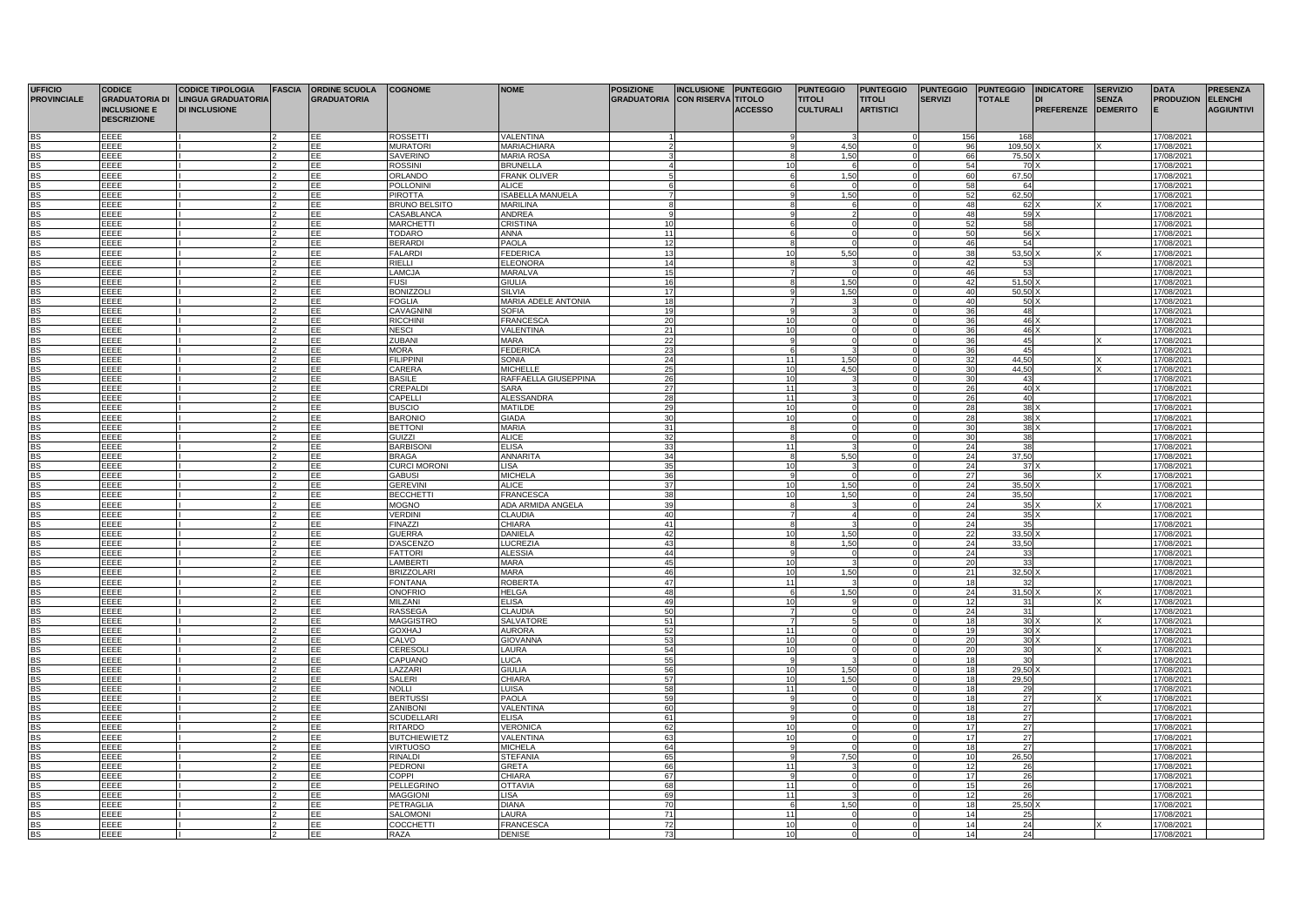| <b>UFFICIO</b>     | <b>CODICE</b>         | <b>CODICE TIPOLOGIA</b>   | <b>FASCIA</b> ORDINE SCUOLA | <b>COGNOME</b>       | <b>NOME</b>             | <b>POSIZIONE</b>   | <b>INCLUSIONE</b>         | <b>PUNTEGGIO</b> | <b>PUNTEGGIO</b> | <b>PUNTEGGIO</b> | <b>PUNTEGGIO</b> |                 | PUNTEGGIO INDICATORE | <b>SERVIZIO</b> | <b>DATA</b>      | <b>PRESENZA</b>   |
|--------------------|-----------------------|---------------------------|-----------------------------|----------------------|-------------------------|--------------------|---------------------------|------------------|------------------|------------------|------------------|-----------------|----------------------|-----------------|------------------|-------------------|
| <b>PROVINCIALE</b> | <b>GRADUATORIA DI</b> | <b>LINGUA GRADUATORIA</b> | <b>GRADUATORIA</b>          |                      |                         | <b>GRADUATORIA</b> | <b>CON RISERVA TITOLO</b> |                  | <b>TITOLI</b>    | <b>TITOLI</b>    | <b>SERVIZI</b>   | <b>TOTALE</b>   | IDI                  | <b>SENZA</b>    | <b>PRODUZION</b> | <b>ELENCHI</b>    |
|                    | <b>INCLUSIONE E</b>   | <b>DI INCLUSIONE</b>      |                             |                      |                         |                    |                           | <b>ACCESSO</b>   | <b>CULTURALI</b> | <b>ARTISTICI</b> |                  |                 | PREFERENZE DEMERITO  |                 |                  | <b>AGGIUNTIVI</b> |
|                    | <b>DESCRIZIONE</b>    |                           |                             |                      |                         |                    |                           |                  |                  |                  |                  |                 |                      |                 |                  |                   |
|                    |                       |                           |                             |                      |                         |                    |                           |                  |                  |                  |                  |                 |                      |                 |                  |                   |
|                    | FFFF                  |                           | FF                          | <b>ROSSETTI</b>      | <b>VALENTINA</b>        |                    |                           |                  |                  |                  | 156              | 168             |                      |                 | 17/08/2021       |                   |
|                    | EEEE                  |                           | FF                          | <b>MURATOR</b>       | MARIACHIARA             |                    |                           |                  | 4.5(             |                  | 96               | 109,50          |                      |                 | 17/08/2021       |                   |
| <b>BS</b>          | EEEE                  |                           | EE                          | <b>SAVERINO</b>      | <b>MARIA ROSA</b>       |                    |                           |                  | 1.50             |                  | 66               | 75.50           |                      |                 | 17/08/2021       |                   |
| <b>BS</b>          | EEEE                  |                           | EE                          | <b>ROSSINI</b>       | <b>BRUNELLA</b>         |                    |                           |                  |                  |                  | 54               | 70              |                      |                 | 17/08/2021       |                   |
| <b>BS</b>          | EEEE                  |                           | EE                          | <b>ORLANDO</b>       | <b>FRANK OLIVER</b>     |                    |                           |                  | 1.50             |                  | 60               | 67,50           |                      |                 | 17/08/2021       |                   |
| BS                 | EEEE                  |                           | EE                          | <b>POLLONINI</b>     | <b>ALICE</b>            |                    |                           |                  |                  |                  | 58               | 64              |                      |                 | 17/08/2021       |                   |
| <b>BS</b>          | EEEE                  |                           | EE                          | <b>PIROTTA</b>       | <b>ISABELLA MANUELA</b> |                    |                           |                  | 1.50             |                  | 52               | 62,50           |                      |                 | 17/08/2021       |                   |
| <b>BS</b>          | EEEE                  |                           | EE                          | <b>BRUNO BELSITO</b> | <b>MARILINA</b>         |                    |                           |                  |                  |                  | 48               | 62 X            |                      |                 | 17/08/2021       |                   |
|                    | EEEE                  |                           | FF                          | CASABLANCA           | ANDREA                  |                    |                           |                  |                  |                  | 48               | 59              |                      |                 | 17/08/2021       |                   |
| <b>BS</b>          | EEEE                  |                           | EE                          | <b>MARCHETTI</b>     | CRISTINA                |                    |                           |                  |                  |                  | 52               | 58              |                      |                 | 17/08/2021       |                   |
| <b>BS</b>          | EEEE                  |                           | EE                          | <b>TODARO</b>        | ANNA                    | 11                 |                           |                  |                  |                  | 50               | 56              |                      |                 | 17/08/2021       |                   |
| RS                 | EEEE                  |                           | <b>IEE</b>                  | <b>BERARDI</b>       | <b>PAOLA</b>            | 12                 |                           |                  |                  |                  | 46               | 54              |                      |                 | 17/08/2021       |                   |
| BS                 | EEEE                  |                           | EE                          | <b>FALARDI</b>       | <b>FEDERICA</b>         |                    |                           |                  | 5.5C             |                  | 38               | 53.50           |                      |                 | 17/08/2021       |                   |
| <b>BS</b>          | FFFF                  |                           | EF                          | RIFLLI               | <b>ELEONORA</b>         | 14                 |                           |                  |                  |                  | 42               | 53              |                      |                 | 17/08/2021       |                   |
| <b>BS</b>          | EEEE                  |                           | ΈE                          | <b>LAMCJA</b>        | <b>MARALVA</b>          |                    |                           |                  |                  |                  | 46               | 53              |                      |                 | 17/08/2021       |                   |
| <b>BS</b>          | EEEE                  |                           | EE                          | <b>FUSI</b>          | <b>GIULIA</b>           | 16                 |                           |                  | 1,50             |                  | 42               | 51,50           |                      |                 | 17/08/2021       |                   |
| <b>BS</b>          | EEEE                  |                           | EE                          | <b>BONIZZOLI</b>     | <b>SILVIA</b>           | 17                 |                           |                  | 1,50             |                  | 40               | 50,50           |                      |                 | 17/08/2021       |                   |
| <b>BS</b>          | EEEE                  |                           | EE                          | <b>FOGLIA</b>        | MARIA ADELE ANTONIA     | 18                 |                           |                  |                  |                  | 40               | $50 \rangle$    |                      |                 | 17/08/2021       |                   |
| BS                 | FFFF                  |                           | EE                          | CAVAGNIN             | <b>SOFIA</b>            | 10                 |                           |                  |                  |                  | 36               | 48              |                      |                 | 17/08/2021       |                   |
| BS                 | EEEE                  |                           | EE                          | <b>RICCHINI</b>      | FRANCESCA               | $\overline{2}$     |                           | 10               |                  |                  | 36               | 46)             |                      |                 | 17/08/2021       |                   |
| BS                 | FFFF                  |                           | EE                          | <b>NESCI</b>         | VALENTINA               | 21                 |                           | 10               |                  |                  | 36               | 46              |                      |                 | 17/08/2021       |                   |
| <b>BS</b>          | EEEE                  |                           | EE                          | <b>ZUBANI</b>        | <b>MARA</b>             | 22                 |                           |                  |                  |                  | 36               | 45              |                      |                 | 17/08/2021       |                   |
| BS                 | EEEE                  |                           | EE                          | <b>MORA</b>          | <b>FEDERICA</b>         | $\mathcal{L}$      |                           |                  |                  |                  | 36               | 45              |                      |                 | 17/08/2021       |                   |
| BS                 | EEEE                  |                           | EE                          | <b>FILIPPINI</b>     | SONIA                   | 24                 |                           | 11               | 1,50             |                  | 32               | 44,50           |                      |                 | 17/08/2021       |                   |
| <b>BS</b>          | <b>FFFF</b>           |                           | <b>IEE</b>                  | CARERA               | <b>MICHELLE</b>         | 25                 |                           | 10               | 4.50             |                  | 30               | 44.50           |                      |                 | 17/08/2021       |                   |
| R۶                 | EEEE                  |                           | EE                          | <b>BASILE</b>        | RAFFAELLA GIUSEPPINA    | 26                 |                           | 10               |                  |                  | 30               | 43              |                      |                 | 17/08/2021       |                   |
| BS.                | EEEE                  |                           | EE                          | CREPALD              | <b>SARA</b>             | 27                 |                           | 11               |                  |                  | 26               | 40              |                      |                 | 17/08/2021       |                   |
| <b>BS</b>          | EEEE                  |                           | EE                          | CAPELLI              | <b>ALESSANDRA</b>       | 28                 |                           | 11               |                  |                  | 26               | 40              |                      |                 | 17/08/2021       |                   |
| <b>BS</b>          | EEEE                  |                           | EE                          | <b>BUSCIO</b>        | <b>MATILDE</b>          | 29                 |                           | 10               |                  |                  | 28               | 38              |                      |                 | 17/08/2021       |                   |
| <b>BS</b>          | EEEE                  |                           | EE                          | <b>BARONIO</b>       | <b>GIADA</b>            | 30                 |                           | 10               |                  |                  | 28               | 38 X            |                      |                 | 17/08/2021       |                   |
| BS                 | EEEE                  |                           | EE                          | <b>BETTONI</b>       | MARIA                   | 31                 |                           | 8                |                  |                  | 30               | 38              |                      |                 | 17/08/2021       |                   |
| <b>BS</b>          | FFFF                  |                           | EE                          | GUIZZI               | <b>ALICE</b>            | 32                 |                           | -8               |                  |                  | 30               | 38              |                      |                 | 17/08/2021       |                   |
| <b>BS</b>          | FFFE                  |                           | FF                          | <b>BARBISONI</b>     | <b>FLISA</b>            | 33                 |                           | 11               |                  |                  | 24               | 38              |                      |                 | 17/08/2021       |                   |
| <b>BS</b>          | FFFF                  |                           | EE                          | <b>BRAGA</b>         | <b>ANNARITA</b>         | 34                 |                           | 8                | 5,50             |                  | 24               | 37,50           |                      |                 | 17/08/2021       |                   |
| <b>BS</b>          | EEEE                  |                           | EE                          | <b>CURCI MORONI</b>  | LISA                    |                    |                           | 10               |                  |                  | 24               | 37              |                      |                 | 17/08/2021       |                   |
| <b>BS</b>          | EEEE                  |                           | EE                          | <b>GABUSI</b>        | <b>MICHELA</b>          | 26                 |                           | $\Omega$         |                  |                  | 27               | 36              |                      |                 | 17/08/2021       |                   |
| <b>BS</b>          | EEEE                  |                           | EE                          | <b>GEREVIN</b>       | <b>ALICE</b>            | 37                 |                           | 10               | 1.51             |                  | 24               | 35.50           |                      |                 | 17/08/2021       |                   |
| <b>BS</b>          | EEEE                  |                           | <b>TEE</b>                  | <b>BECCHETTI</b>     | <b>FRANCESCA</b>        | 38                 |                           | 10               | 1.50             |                  | 24               | 35,50           |                      |                 | 17/08/2021       |                   |
| <b>BS</b>          | FFFF                  |                           | EF                          | <b>MOGNO</b>         | ADA ARMIDA ANGELA       |                    |                           |                  |                  |                  | 24               | 35              |                      |                 | 17/08/2021       |                   |
| <b>BS</b>          | EEEE                  |                           | EE                          | <b>VERDINI</b>       | CLAUDIA                 | 40                 |                           |                  |                  |                  | 24               | 35)             |                      |                 | 17/08/2021       |                   |
| <b>BS</b>          | EEEE                  |                           | <b>TEE</b>                  | <b>FINAZZI</b>       | CHIARA                  | 41                 |                           |                  |                  |                  | 24               | 35              |                      |                 | 17/08/2021       |                   |
| <b>BS</b>          | EEEE                  |                           | EE                          | <b>GUERRA</b>        | DANIELA                 | 42                 |                           | 10               | 1.50             |                  | 22               | 33.50           |                      |                 | 17/08/2021       |                   |
| <b>BS</b>          | EEEE                  |                           | EE                          | <b>D'ASCENZC</b>     | LUCREZIA                | 43                 |                           | $\mathbf{R}$     | 1,50             |                  | 24               | 33,50           |                      |                 | 17/08/2021       |                   |
| <b>BS</b>          | EEEE                  |                           | EE                          | <b>FATTORI</b>       | <b>ALESSIA</b>          | 44                 |                           |                  |                  |                  | 24               | 33              |                      |                 | 17/08/2021       |                   |
| <b>BS</b>          | EEEE                  |                           | EE                          | LAMBERTI             | <b>MARA</b>             | 45                 |                           | 10               |                  |                  | 20               | 33              |                      |                 | 17/08/2021       |                   |
| <b>BS</b>          | EEEE                  |                           | EE                          | <b>BRIZZOLAR</b>     | <b>MARA</b>             | 46                 |                           | 10               | 1.50             |                  | 21               | 32,50           |                      |                 | 17/08/2021       |                   |
| <b>BS</b>          | EEEE                  |                           | EE                          | <b>FONTANA</b>       | <b>ROBERTA</b>          | 47                 |                           | 11               |                  |                  | 18               | 32              |                      |                 | 17/08/2021       |                   |
|                    | EEEE                  |                           | EE                          | ONOFRIO              | <b>HELGA</b>            | 48                 |                           |                  | 1,50             |                  | 24               | 31,50           |                      |                 | 17/08/2021       |                   |
| <b>BS</b>          | EEEE                  |                           | EE                          | MILZANI              | <b>ELISA</b>            | 49                 |                           | 10               |                  |                  | 12               | 31              |                      |                 | 17/08/2021       |                   |
| <b>BS</b>          | EEEE                  |                           | EE                          | <b>RASSEGA</b>       | CLAUDIA                 | 50                 |                           |                  |                  |                  | 24               | 31              |                      |                 | 17/08/2021       |                   |
| R.S                | EEEE                  |                           | EE                          | <b>MAGGISTRO</b>     | <b>SALVATORI</b>        | 51                 |                           |                  |                  |                  | 18               | 30              |                      |                 | 17/08/2021       |                   |
| BS                 | EEEE                  |                           | EE                          | <b>GOXHAJ</b>        | <b>AURORA</b>           | 52                 |                           | 11               |                  |                  | 19               | 30 <sub>2</sub> |                      |                 | 17/08/2021       |                   |
| <b>BS</b>          | EEEE                  |                           | EE                          | CALVO                | <b>GIOVANNA</b>         | 53                 |                           | 10               |                  |                  | 20               | 30 <sub>2</sub> |                      |                 | 17/08/2021       |                   |
| <b>BS</b>          | EEEE                  |                           | EE                          | CERESOLI             | LAURA                   | 54                 |                           | 10               |                  |                  | 20               | 30              |                      |                 | 17/08/2021       |                   |
| <b>BS</b>          | EEEE                  |                           | EE                          | <b>CAPUANO</b>       | LUCA                    | 55                 |                           |                  |                  |                  | 18               | 30              |                      |                 | 17/08/2021       |                   |
| <b>BS</b>          | FFFF                  |                           | EE                          | LAZZARI              | <b>GIULIA</b>           | 56                 |                           | 10               | 1.50             |                  | 18               | 29,50           |                      |                 | 17/08/2021       |                   |
| <b>BS</b>          | FFFF                  |                           | EE                          | SAI FRI              | CHIARA                  | 57                 |                           | 10               | 1,50             |                  | 18               | 29,50           |                      |                 | 17/08/2021       |                   |
| BS                 | EEEE                  |                           | EE                          | NOLLI                | LUISA                   | 58                 |                           | 11               |                  |                  | 18               | 29              |                      |                 | 17/08/2021       |                   |
| <b>BS</b>          | EEEE                  |                           | EE                          | <b>BERTUSSI</b>      | PAOLA                   | 59                 |                           |                  |                  |                  | 18               | 27              |                      |                 | 17/08/2021       |                   |
| <b>BS</b>          | EEEE                  |                           | EE                          | <b>ZANIBONI</b>      | VALENTINA               | 60                 |                           |                  |                  |                  | 18               | 27              |                      |                 | 17/08/2021       |                   |
| <b>BS</b>          | EEEE                  |                           | EE                          | <b>SCUDELLARI</b>    | ELISA                   | 61                 |                           |                  |                  |                  | 18               | 27              |                      |                 | 17/08/2021       |                   |
| <b>BS</b>          | EEEE                  |                           | EE                          | <b>RITARDO</b>       | <b>VERONICA</b>         | 62                 |                           | 10               |                  |                  | 17               | 27              |                      |                 | 17/08/2021       |                   |
| <b>BS</b>          | FFFF                  |                           | <b>IEE</b>                  | <b>BUTCHIEWIETZ</b>  | VALENTINA               | 63                 |                           | 10               |                  |                  | 17               | 27              |                      |                 | 17/08/2021       |                   |
| <b>BS</b>          | EEEE                  |                           | EE                          | <b>VIRTUOSO</b>      | <b>MICHELA</b>          | 64                 |                           |                  |                  |                  | 18               | 27              |                      |                 | 17/08/2021       |                   |
| <b>BS</b>          | EEEE                  |                           | <b>IEE</b>                  | <b>RINALDI</b>       | <b>STEFANIA</b>         | 65                 |                           |                  | 7.50             |                  | 10               | 26.50           |                      |                 | 17/08/2021       |                   |
| <b>BS</b>          | EEEE                  |                           | EE                          | <b>PEDRONI</b>       | <b>GRETA</b>            | 66                 |                           | 11               |                  |                  | 12               | 26              |                      |                 | 17/08/2021       |                   |
| BS                 | EEEE                  |                           | EE                          | <b>COPPI</b>         | CHIARA                  | 67                 |                           |                  |                  |                  | 17               | 26              |                      |                 | 17/08/2021       |                   |
| <b>BS</b>          | EEEE                  |                           | EE                          | <b>PELLEGRINO</b>    | <b>OTTAVIA</b>          | 68                 |                           | 11               |                  |                  | 15               | 26              |                      |                 | 17/08/2021       |                   |
| <b>BS</b>          | EEEE                  |                           | EE                          | <b>MAGGIONI</b>      | LISA                    | 69                 |                           | 11               |                  |                  | 12               | 26              |                      |                 | 17/08/2021       |                   |
|                    | EEEE                  |                           | EE                          | PETRAGLIA            | <b>AVAIC</b>            |                    |                           |                  | 6<br>1.50        |                  | 18               | 25,50           |                      |                 | 17/08/2021       |                   |
|                    | EEEE                  |                           | EE                          | <b>SALOMONI</b>      | LAURA                   | 71                 |                           | 11               |                  |                  | 14               | 25              |                      |                 | 17/08/2021       |                   |
|                    | EEEE                  |                           | EE                          | <b>COCCHETT</b>      | <b>FRANCESCA</b>        |                    |                           | 10               |                  |                  | 14               | 24              |                      |                 | 17/08/2021       |                   |
| <b>BS</b>          | EEEE                  |                           | EE                          | RAZA                 | <b>DENISE</b>           |                    |                           | 10               |                  |                  | 14               | 24              |                      |                 | 17/08/2021       |                   |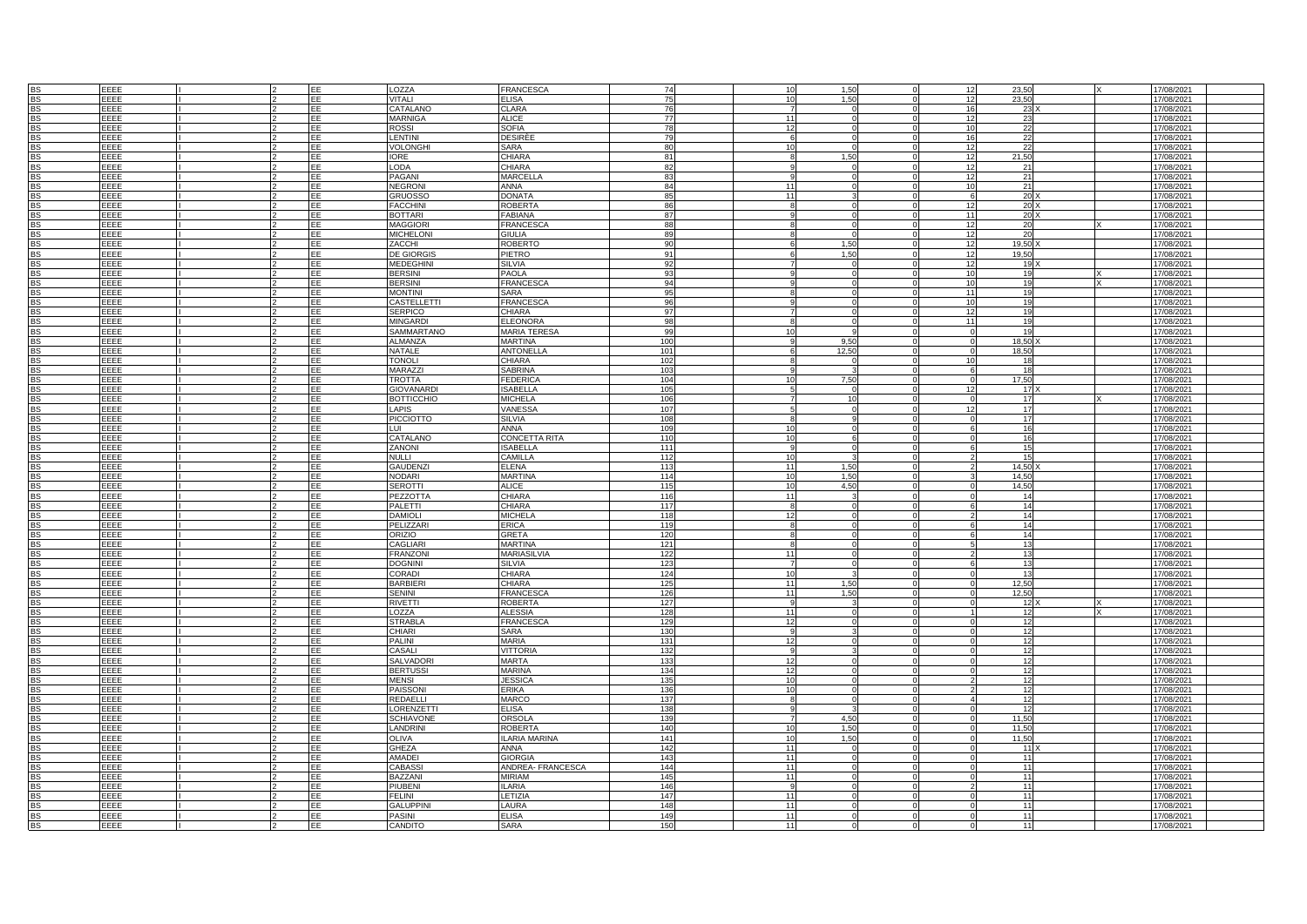|           | EEEE        |  | EE  | LOZZA             | <b>FRANCESCA</b>     | 74        |    | 10           | 1,50  |                 | 23,50           |  |            |
|-----------|-------------|--|-----|-------------------|----------------------|-----------|----|--------------|-------|-----------------|-----------------|--|------------|
|           |             |  |     |                   |                      |           |    |              |       | 12              |                 |  | 17/08/2021 |
| <b>BS</b> | EEEE        |  | EE  | <b>VITALI</b>     | <b>ELISA</b>         | 75        |    | 10           | 1.50  | 12              | 23.50           |  | 17/08/2021 |
| <b>BS</b> | EEEE        |  | EE  | CATALANO          | <b>CLARA</b>         | 76        |    |              |       | 16              | 23              |  | 17/08/2021 |
| <b>BS</b> | EEEE        |  | FF  | <b>MARNIGA</b>    | <b>ALICE</b>         |           | 77 | 11           |       | 12              | 23              |  | 17/08/2021 |
| <b>BS</b> | EEEE        |  | FE  | <b>ROSSI</b>      | <b>SOFIA</b>         |           | 78 | 12           |       | 10              | 22              |  | 17/08/2021 |
| <b>BS</b> | EEEE        |  | EE  | <b>LENTINI</b>    | <b>DESIRÈE</b>       |           | 79 | $\epsilon$   |       | 16              | 22              |  | 17/08/2021 |
|           |             |  |     |                   |                      |           |    |              |       |                 |                 |  |            |
| <b>BS</b> | EEEE        |  | EE  | <b>VOLONGHI</b>   | SARA                 |           | 80 | 10           |       | 12              | 22              |  | 17/08/2021 |
| <b>BS</b> | EEEE        |  | EE  | IORE              | <b>CHIARA</b>        |           | 81 |              | 1,50  | 12              | 21,50           |  | 17/08/2021 |
| <b>BS</b> | EEEE        |  | EE  | LODA              | <b>CHIARA</b>        | 82        |    |              |       | 12              | -21             |  | 17/08/2021 |
|           | EFFE        |  | EE  | PAGANI            | <b>MARCELLA</b>      | 83        |    |              |       |                 | 21              |  |            |
| <b>BS</b> |             |  |     |                   |                      |           |    |              |       | 12              |                 |  | 17/08/2021 |
| <b>BS</b> | EEEE        |  | EE  | <b>NEGRONI</b>    | <b>ANNA</b>          | 84        |    | 11           |       | 10              | 21              |  | 17/08/2021 |
| <b>BS</b> | EEEE        |  | EE  | GRUOSSO           | <b>DONATA</b>        | 85        |    | 11           |       |                 | 20              |  | 17/08/2021 |
| <b>BS</b> | EEEE        |  | EE  | <b>FACCHINI</b>   | <b>ROBERTA</b>       | 86        |    |              |       | 12              | 20              |  | 17/08/2021 |
| <b>BS</b> | EEEE        |  | EE  | <b>BOTTARI</b>    | <b>FABIANA</b>       | 87        |    |              |       | 11              | 20              |  | 17/08/2021 |
|           |             |  |     |                   |                      |           |    |              |       |                 |                 |  |            |
| <b>BS</b> | EEEE        |  | EE  | <b>MAGGIORI</b>   | <b>FRANCESC</b>      | <b>88</b> |    |              |       | 12              | 20              |  | 17/08/2021 |
| <b>BS</b> | EEEE        |  | EE  | <b>MICHELONI</b>  | <b>GIULIA</b>        | 89        |    |              |       | 12              | 20              |  | 17/08/2021 |
| <b>BS</b> | EEEE        |  | EE  | ZACCHI            | <b>ROBERTO</b>       | 90        |    |              | 1,50  | 12              | 19,50           |  | 17/08/2021 |
| <b>BS</b> | EEEE        |  | EE  | <b>DE GIORGIS</b> | PIETRO               | 91        |    |              | 1.50  | 12              | 19,50           |  | 17/08/2021 |
|           |             |  |     |                   |                      |           |    |              |       |                 |                 |  |            |
| <b>BS</b> | EEEE        |  | EE  | <b>MEDEGHINI</b>  | <b>SILVIA</b>        | 92        |    |              |       | 12              | 19              |  | 17/08/2021 |
| <b>BS</b> | EEEE        |  | EE  | <b>BERSINI</b>    | <b>PAOLA</b>         | 93        |    |              |       | 10 <sup>1</sup> | 19              |  | 17/08/2021 |
| <b>BS</b> | EEEE        |  | EE  | <b>BERSINI</b>    | <b>FRANCESCA</b>     | 94        |    |              |       | 10              | 19              |  | 17/08/2021 |
| <b>BS</b> | EEEE        |  | EE. | <b>MONTINI</b>    | SARA                 | 95        |    |              |       | 11              | 10              |  | 17/08/2021 |
|           |             |  |     |                   |                      |           |    |              |       |                 |                 |  |            |
| <b>BS</b> | EEEE        |  | EE  | CASTELLETTI       | <b>FRANCESCA</b>     |           | 96 |              |       | 10              | 19              |  | 17/08/2021 |
| BS        | EEEE        |  | EE  | <b>SERPICO</b>    | CHIARA               | 97        |    |              |       | 12              | 19              |  | 17/08/2021 |
| BS        | EEEE        |  | EE  | <b>MINGARDI</b>   | <b>ELEONORA</b>      | 98        |    |              |       | 11              | 19              |  | 17/08/2021 |
| <b>BS</b> | EEEE        |  | EE  | SAMMARTANO        | <b>MARIA TERESA</b>  | 99        |    | 10           |       |                 | 19              |  | 17/08/2021 |
|           |             |  |     |                   |                      |           |    |              |       |                 |                 |  |            |
| <b>BS</b> | EEEE        |  | EE  | <b>ALMANZA</b>    | <b>MARTINA</b>       | 100       |    |              | 9.50  |                 | 18,50           |  | 17/08/2021 |
| <b>BS</b> | EEEE        |  | EE  | NATALE            | <b>ANTONELLA</b>     | 101       |    |              | 12.50 |                 | 18.50           |  | 17/08/2021 |
| <b>BS</b> | EEEE        |  | EE  | <b>TONOLI</b>     | CHIARA               | 102       |    |              |       | 10              | 18              |  | 17/08/2021 |
|           |             |  | EE  |                   |                      |           |    |              |       |                 | 18              |  |            |
| <b>BS</b> | EEEE        |  |     | MARAZZI           | <b>SABRINA</b>       | 103       |    |              |       |                 |                 |  | 17/08/2021 |
| <b>BS</b> | EEEE        |  | EE  | <b>TROTTA</b>     | <b>FEDERICA</b>      | 104       |    | 10           | 7,50  |                 | 17,50           |  | 17/08/2021 |
| <b>BS</b> | EEEE        |  | EE  | <b>GIOVANARDI</b> | <b>ISABELLA</b>      | 105       |    |              |       | 12              | 17 <sup>1</sup> |  | 17/08/2021 |
| <b>BS</b> | EEEE        |  | EE  | <b>BOTTICCHIO</b> | <b>MICHELA</b>       | 106       |    |              | 10    |                 | 17              |  | 17/08/2021 |
| <b>BS</b> | EEEE        |  | EE  | LAPIS             | VANESSA              | 107       |    |              |       | 12              | 17              |  |            |
|           |             |  |     |                   |                      |           |    |              |       |                 |                 |  | 17/08/2021 |
| <b>BS</b> | EEEE        |  | EE  | <b>PICCIOTTO</b>  | <b>SILVIA</b>        | 108       |    |              |       |                 | 17              |  | 17/08/2021 |
| <b>BS</b> | EEEE        |  | EE  | LUI               | <b>ANNA</b>          | 109       |    | 10           |       |                 | 16              |  | 17/08/2021 |
| <b>BS</b> | EEEE        |  | EE  | CATALANO          | <b>CONCETTA RITA</b> | 110       |    | 10           |       |                 | 16              |  | 17/08/2021 |
|           |             |  |     |                   |                      |           |    |              |       |                 |                 |  |            |
| <b>BS</b> | EEEE        |  | EE  | ZANONI            | <b>ISABELLA</b>      | 111       |    |              |       |                 | 15              |  | 17/08/2021 |
| <b>BS</b> | EEEE        |  | EE  | NULLI             | CAMILLA              | 112       |    | 10           |       |                 | 15              |  | 17/08/2021 |
| <b>BS</b> | FFFF        |  | EE  | <b>GAUDENZI</b>   | <b>ELENA</b>         | 113       |    | 11           | 1.50  |                 | 14.50           |  | 17/08/2021 |
| <b>BS</b> | EEEE        |  | EE  | NODARI            | <b>MARTINA</b>       | 114       |    | 10           | 1,50  |                 | 14,50           |  |            |
|           |             |  |     |                   |                      |           |    |              |       |                 |                 |  | 17/08/2021 |
| <b>BS</b> | EEEE        |  | EE  | <b>SEROTTI</b>    | <b>ALICE</b>         | 115       |    | 10           | 4,50  |                 | 14,50           |  | 17/08/2021 |
| <b>BS</b> | EEEE        |  | EE  | PEZZOTTA          | <b>CHIARA</b>        | 116       |    | 11           |       |                 | 14              |  | 17/08/2021 |
| <b>BS</b> | EEEE        |  | EE  | PALETTI           | CHIARA               | $117$     |    | 8            |       |                 | 14              |  | 17/08/2021 |
| <b>BS</b> | EEEE        |  | EE  | <b>DAMIOLI</b>    | <b>MICHELA</b>       | 118       |    | 12           |       |                 | 14              |  | 17/08/2021 |
|           |             |  |     |                   |                      |           |    |              |       |                 |                 |  |            |
| <b>BS</b> | EEEE        |  | EE  | PELIZZARI         | <b>ERICA</b>         | 119       |    | $\mathbf{R}$ |       |                 | 14              |  | 17/08/2021 |
| <b>BS</b> | EEEE        |  | EE  | ORIZIO            | <b>GRETA</b>         | 120       |    |              |       |                 | 14              |  | 17/08/2021 |
| <b>BS</b> | EEEE        |  | EE  | <b>CAGLIARI</b>   | <b>MARTINA</b>       | 121       |    |              |       |                 | 13              |  | 17/08/2021 |
| <b>BS</b> | EEEE        |  | EE  | <b>FRANZONI</b>   | <b>MARIASILVIA</b>   | 122       |    | 11           |       |                 | 13              |  | 17/08/2021 |
|           |             |  |     |                   |                      |           |    |              |       |                 |                 |  |            |
| <b>BS</b> | EEEE        |  | EE  | <b>DOGNINI</b>    | <b>SILVIA</b>        | 123       |    |              |       |                 | 13              |  | 17/08/2021 |
| <b>BS</b> | EEEE        |  | EE  | CORADI            | CHIARA               | 124       |    | 10           |       |                 | 13              |  | 17/08/2021 |
| <b>BS</b> | EEEE        |  | EE  | <b>BARBIER</b>    | CHIARA               | 125       |    | 11           | 1.50  |                 | 12.50           |  | 17/08/2021 |
|           | EEEE        |  | EE  | <b>SENINI</b>     | <b>FRANCESCA</b>     | 126       |    | 11           | 1.50  |                 | 12,50           |  | 17/08/2021 |
|           |             |  |     |                   |                      |           |    |              |       |                 |                 |  |            |
| BS        | EEEE        |  | EE  | RIVETTI           | <b>ROBERTA</b>       | 127       |    | $\Omega$     |       |                 | 12              |  | 17/08/2021 |
| <b>BS</b> | EEEE        |  | EE  | LOZZA             | <b>ALESSIA</b>       | 128       |    | 11           |       |                 | 12              |  | 17/08/2021 |
| BS        | EEEE        |  | EE  | <b>STRABLA</b>    | <b>FRANCESCA</b>     | 129       |    | 12           |       |                 | 12              |  | 17/08/2021 |
| <b>BS</b> | EEEE        |  | EE  | CHIARI            | <b>SARA</b>          | 130       |    | q            |       |                 | 12              |  | 17/08/2021 |
|           |             |  |     |                   |                      |           |    |              |       |                 |                 |  |            |
| <b>BS</b> | EEEE        |  | EE  | PALINI            | <b>MARIA</b>         | 131       |    | 12           |       |                 | 12              |  | 17/08/2021 |
| <b>BS</b> | EEEE        |  | EE  | CASALI            | <b>VITTORIA</b>      | 132       |    |              |       |                 | 12              |  | 17/08/2021 |
| <b>BS</b> | EEEE        |  | EE  | <b>SALVADORI</b>  | <b>MARTA</b>         | 133       |    | 12           |       |                 | 12              |  | 17/08/2021 |
| <b>BS</b> | EEEE        |  |     | <b>BERTUSSI</b>   | <b>MARINA</b>        | 134       |    |              |       |                 | 12              |  | 17/08/2021 |
|           |             |  | EE  |                   |                      |           |    | 12           |       |                 |                 |  |            |
| <b>BS</b> | EEEE        |  | EE  | <b>MENSI</b>      | <b>JESSICA</b>       | 135       |    | 10           |       |                 | 12              |  | 17/08/2021 |
| <b>BS</b> | EEEE        |  | EE  | <b>PAISSONI</b>   | <b>ERIKA</b>         | 136       |    | 10           |       |                 | 12              |  | 17/08/2021 |
| <b>BS</b> | EEEE        |  | EE  | <b>REDAELLI</b>   | <b>MARCO</b>         | 137       |    |              |       |                 | 12              |  | 17/08/2021 |
| <b>BS</b> | EEEE        |  | EE  | <b>LORENZETTI</b> | <b>ELISA</b>         | 138       |    |              |       |                 | 12              |  | 17/08/2021 |
|           |             |  |     |                   |                      |           |    |              |       |                 |                 |  |            |
| <b>BS</b> | <b>FFFF</b> |  | EE  | <b>SCHIAVONE</b>  | <b>ORSOLA</b>        | 139       |    |              | 4.50  |                 | 11.50           |  | 17/08/2021 |
| <b>RS</b> | EEEE        |  | EE  | <b>LANDRINI</b>   | <b>ROBERTA</b>       | 140       |    | 10           | 1.50  |                 | 11.50           |  | 17/08/2021 |
| <b>BS</b> | EEEE        |  | EE  | <b>OLIVA</b>      | <b>ILARIA MARINA</b> | 141       |    | 10           | 1,50  |                 | 11,50           |  | 17/08/2021 |
|           |             |  |     |                   |                      |           |    |              |       |                 |                 |  |            |
| <b>BS</b> | EEEE        |  | EE  | GHEZA             | ANNA                 | 142       |    | 11           |       |                 | 11)             |  | 17/08/2021 |
| <b>BS</b> | EEEE        |  | EE  | AMADEI            | <b>GIORGIA</b>       | 143       |    | 11           |       |                 | 11              |  | 17/08/2021 |
| BS        | EEEE        |  | EE  | <b>CABASS</b>     | ANDREA- FRANCESCA    | 144       |    | 11           |       |                 | 11              |  | 17/08/2021 |
| <b>BS</b> | <b>FFFF</b> |  | EE  | BAZZANI           | <b>MIRIAM</b>        | 145       |    | 11           |       |                 | 11              |  | 17/08/2021 |
|           |             |  |     |                   |                      |           |    |              |       |                 |                 |  |            |
| <b>BS</b> | EEEE        |  | EE  | PIUBENI           | <b>ILARIA</b>        | 146       |    | q            |       |                 | 11              |  | 17/08/2021 |
| <b>BS</b> | EEEE        |  | EE  | FELINI            | LETIZIA              | 147       |    | 11           |       |                 | 11              |  | 17/08/2021 |
| <b>BS</b> | EEEE        |  | EE  | GALUPPIN          | LAURA                | 148       |    | 11           |       |                 | 11              |  | 17/08/2021 |
|           | EEEE        |  |     | PASINI            | <b>ELISA</b>         | 149       |    | 11           |       |                 | 11              |  | 17/08/2021 |
| BS<br>BS  |             |  |     |                   |                      |           |    |              |       |                 |                 |  |            |
|           | EEEE        |  | EE  | CANDITO           | SARA                 | 150       |    | 11           |       |                 | 11              |  | 17/08/2021 |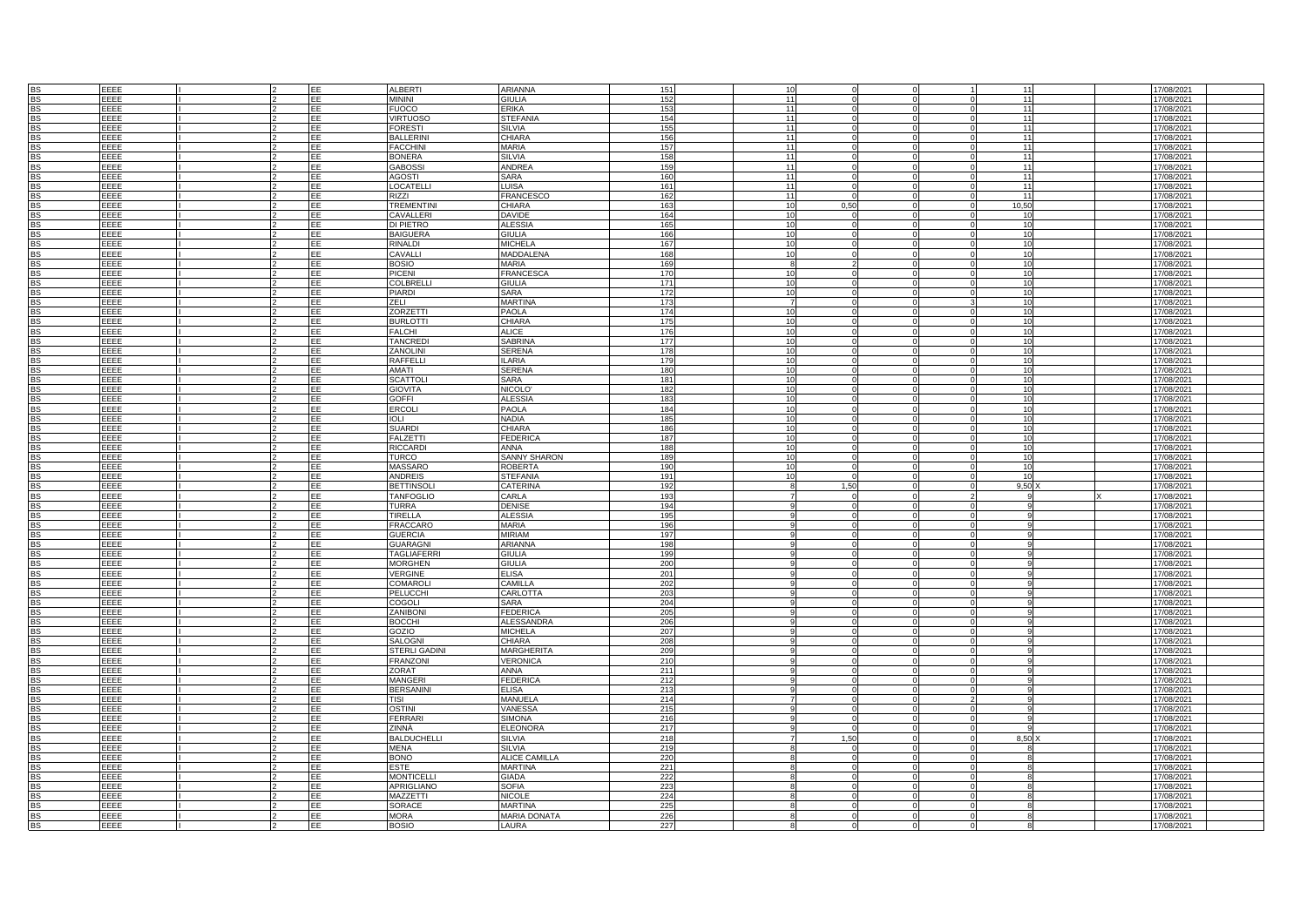|           | EEEE        |  | EE  | <b>ALBERTI</b>     | ARIANNA             | 151 | 10              |          |              |  | 17/08/2021 |
|-----------|-------------|--|-----|--------------------|---------------------|-----|-----------------|----------|--------------|--|------------|
| BS        |             |  |     |                    |                     |     |                 |          | 11           |  |            |
| <b>BS</b> | EEEE        |  | EE  | <b>MININI</b>      | <b>GIULIA</b>       | 152 | $\overline{11}$ |          | 11           |  | 17/08/2021 |
| <b>BS</b> | EEEE        |  | EE  | <b>FUOCO</b>       | <b>FRIKA</b>        | 153 | 11              |          | 11           |  | 17/08/2021 |
| <b>BS</b> | EEEE        |  | EE  | <b>VIRTUOSC</b>    | <b>STEFANIA</b>     | 154 | 11              |          | 11           |  | 17/08/2021 |
| <b>BS</b> | EEEE        |  | EE  | <b>FORESTI</b>     | <b>SILVIA</b>       | 155 | 11              |          | 11           |  | 17/08/2021 |
|           |             |  |     |                    |                     |     |                 |          |              |  |            |
| <b>BS</b> | EEEE        |  | EE  | <b>BALLERINI</b>   | CHIARA              | 156 | 11              |          | 11           |  | 17/08/2021 |
| <b>BS</b> | EEEE        |  | EE  | <b>FACCHINI</b>    | MARIA               | 157 | 11              |          | 11           |  | 17/08/2021 |
| <b>BS</b> | EEEE        |  | EE  | <b>BONERA</b>      | <b>SILVIA</b>       | 158 | 11              |          | 11           |  | 17/08/2021 |
| <b>BS</b> | EEEE        |  | EE  | <b>GABOSSI</b>     | <b>ANDREA</b>       | 159 | 11              |          | 11           |  | 17/08/2021 |
|           | <b>FFFF</b> |  |     |                    |                     |     |                 |          |              |  |            |
| <b>BS</b> |             |  | EE  | <b>AGOSTI</b>      | SARA                | 160 | 11              |          | 11           |  | 17/08/2021 |
| <b>BS</b> | EEEE        |  | EE  | LOCATELLI          | LUISA               | 161 | 11              |          | 11           |  | 17/08/2021 |
| <b>BS</b> | EEEE        |  | EЕ  | RIZZI              | <b>FRANCESCO</b>    | 162 | 11              |          | 11           |  | 17/08/2021 |
| <b>BS</b> | EEEE        |  | EE  | <b>TREMENTINI</b>  | CHIARA              | 163 | 10              | 0,50     | 10,50        |  | 17/08/2021 |
| <b>BS</b> | EEEE        |  | EE  | CAVALLERI          | <b>DAVIDE</b>       | 164 | 10              |          | 10           |  | 17/08/2021 |
| <b>BS</b> |             |  | EE  |                    | <b>ALESSIA</b>      | 165 | 10              |          | 10           |  |            |
|           | EEEE        |  |     | <b>DI PIETRO</b>   |                     |     |                 |          |              |  | 17/08/2021 |
| <b>BS</b> | EEEE        |  | EE  | <b>BAIGUERA</b>    | <b>GIULIA</b>       | 166 | 10              |          | 10           |  | 17/08/2021 |
| <b>BS</b> | EEEE        |  | EE  | <b>RINALDI</b>     | <b>MICHELA</b>      | 167 | 10              |          | 10           |  | 17/08/2021 |
| <b>BS</b> | EEEE        |  | EE  | CAVALLI            | MADDALENA           | 168 | 10              |          | 10           |  | 17/08/2021 |
| <b>BS</b> | EEEE        |  | EE  | <b>BOSIO</b>       | MARIA               | 169 |                 |          | 10           |  | 17/08/2021 |
| <b>BS</b> | EEEE        |  | EE  | <b>PICENI</b>      | <b>FRANCESCA</b>    | 170 | 10              |          | 10           |  | 17/08/2021 |
|           |             |  |     |                    |                     |     |                 |          |              |  |            |
| <b>BS</b> | EEEE        |  | EE  | COLBRELL           | GIULIA              | 171 | 10              |          | 10           |  | 17/08/2021 |
| <b>BS</b> | EEEE        |  | EE  | <b>PIARDI</b>      | SARA                | 172 | 10              |          | 10           |  | 17/08/2021 |
| <b>BS</b> | EEEE        |  | EE  | ZELI               | <b>MARTINA</b>      | 173 | $\overline{7}$  |          | 10           |  | 17/08/2021 |
|           | EEEE        |  | EE  | <b>ZORZETTI</b>    | PAOLA               | 174 | 10              |          | 10           |  | 17/08/2021 |
|           |             |  |     |                    | CHIARA              |     |                 |          |              |  |            |
| BS        | <b>FFFF</b> |  | EE  | <b>BURLOTTI</b>    |                     | 175 | 10              |          | 10           |  | 17/08/2021 |
| <b>BS</b> | EEEE        |  | EE  | <b>FALCHI</b>      | <b>ALICE</b>        | 176 | 10              | $\Omega$ | 10           |  | 17/08/2021 |
| <b>BS</b> | EEEE        |  | EE  | <b>TANCREDI</b>    | <b>SABRINA</b>      | 177 | 10              |          | 10           |  | 17/08/2021 |
| <b>BS</b> | EEEE        |  | EE  | ZANOLINI           | SERENA              | 178 | 10              |          | 10           |  | 17/08/2021 |
| <b>BS</b> | EEEE        |  | EE  | RAFFELLI           | <b>ILARIA</b>       | 179 | 10              |          | 10           |  | 17/08/2021 |
| <b>BS</b> | EEEE        |  | EE  | <b>AMATI</b>       | <b>SERENA</b>       | 180 | 10              |          | 10           |  | 17/08/2021 |
|           |             |  |     |                    |                     |     |                 |          |              |  |            |
| <b>BS</b> | EEEE        |  | EE  | <b>SCATTOLI</b>    | SARA                | 181 | 10              |          | 10           |  | 17/08/2021 |
| <b>BS</b> | EEEE        |  | EE  | <b>GIOVITA</b>     | NICOLO'             | 182 | 10              |          | 10           |  | 17/08/2021 |
| <b>BS</b> | EEEE        |  | EE  | <b>GOFFI</b>       | <b>ALESSIA</b>      | 183 | 10              |          | 10           |  | 17/08/2021 |
| <b>BS</b> | EEEE        |  | EE  | ERCOLI             | <b>PAOLA</b>        | 184 | 10              |          | 10           |  | 17/08/2021 |
| <b>RS</b> | EEEE        |  | EE  | <b>IOLI</b>        | <b>NADIA</b>        | 185 | 10              |          | 10           |  | 17/08/2021 |
| <b>BS</b> | EEEE        |  | EE  | <b>SUARDI</b>      | CHIARA              | 186 | 10              |          | 10           |  | 17/08/2021 |
|           |             |  |     |                    |                     |     |                 |          |              |  |            |
| <b>BS</b> | EEEE        |  | EE  | <b>FALZETTI</b>    | <b>FEDERICA</b>     | 187 | 10              |          | 10           |  | 17/08/2021 |
| <b>BS</b> | EEEE        |  | EE  | <b>RICCARD</b>     | <b>ANNA</b>         | 188 | 10              |          | 10           |  | 17/08/2021 |
| <b>BS</b> | EEEE        |  | EE  | <b>TURCO</b>       | <b>SANNY SHARON</b> | 189 | 10              |          | 10           |  | 17/08/2021 |
| <b>BS</b> | FFFF        |  | FF. | <b>MASSARO</b>     | <b>ROBERTA</b>      | 190 | 10              |          | 10           |  | 17/08/2021 |
| <b>BS</b> | EEEE        |  | EE  | ANDREIS            | <b>STEFANIA</b>     | 191 | 10              |          | 10           |  | 17/08/2021 |
| <b>BS</b> | EEEE        |  | EE  | <b>BETTINSOL</b>   | CATERINA            | 192 |                 | 1.50     | 9,50         |  | 17/08/2021 |
| <b>BS</b> | EEEE        |  | EE  | <b>TANFOGLIO</b>   | CARLA               | 193 |                 |          |              |  | 17/08/2021 |
|           |             |  |     |                    |                     |     |                 |          |              |  |            |
| <b>BS</b> | EEEE        |  | EE  | <b>TURRA</b>       | <b>DENISE</b>       | 194 |                 |          |              |  | 17/08/2021 |
| <b>BS</b> | EEEE        |  | EE  | <b>TIRELLA</b>     | <b>ALESSIA</b>      | 195 |                 |          |              |  | 17/08/2021 |
| <b>BS</b> | EEEE        |  | EE  | <b>FRACCARO</b>    | <b>MARIA</b>        | 196 |                 |          |              |  | 17/08/2021 |
| <b>BS</b> | EEEE        |  | EF  | <b>GUERCIA</b>     | <b>MIRIAM</b>       | 197 |                 |          |              |  | 17/08/2021 |
| <b>BS</b> | EEEE        |  | EE  | <b>GUARAGNI</b>    | ARIANNA             | 198 |                 |          |              |  | 17/08/2021 |
|           |             |  |     |                    |                     |     |                 |          |              |  |            |
| <b>BS</b> | EEEE        |  | EE  | <b>TAGLIAFERRI</b> | <b>GIULIA</b>       | 199 |                 |          |              |  | 17/08/2021 |
| <b>RS</b> | EEEE        |  | EF  | <b>MORGHEN</b>     | <b>GIULIA</b>       | 200 |                 |          |              |  | 17/08/2021 |
| <b>BS</b> | EEEE        |  | EE  | <b>VERGINE</b>     | <b>ELISA</b>        | 201 |                 |          |              |  | 17/08/2021 |
| <b>BS</b> | EEEE        |  | EE  | COMAROL            | CAMILLA             | 202 |                 |          |              |  | 17/08/2021 |
|           | EEEE        |  | EE  | <b>PELUCCHI</b>    | CARLOTTA            | 203 |                 |          |              |  | 17/08/2021 |
|           |             |  |     |                    |                     |     |                 |          |              |  |            |
| BS        | EEEE        |  | EE  | COGOLI             | SARA                | 204 |                 |          |              |  | 17/08/2021 |
| <b>BS</b> | EEEE        |  | EE  | ZANIBONI           | <b>FEDERICA</b>     | 205 |                 |          | $\mathbf{q}$ |  | 17/08/2021 |
| BS        | EEEE        |  | EE  | <b>BOCCHI</b>      | <b>ALESSANDRA</b>   | 206 |                 |          |              |  | 17/08/2021 |
| <b>BS</b> | EEEE        |  | EE  | GOZIO              | <b>MICHELA</b>      | 207 |                 |          |              |  | 17/08/2021 |
| <b>BS</b> | EEEE        |  | EЕ  | <b>SALOGNI</b>     | CHIARA              | 208 |                 |          |              |  | 17/08/2021 |
| <b>BS</b> | EEEE        |  | EE  | STERLI GADINI      | MARGHERITA          | 209 |                 |          |              |  | 17/08/2021 |
|           |             |  | EE. |                    |                     |     |                 |          |              |  |            |
| <b>BS</b> | EEEE        |  |     | <b>FRANZONI</b>    | VERONICA            | 210 |                 |          |              |  | 17/08/2021 |
| <b>BS</b> | EEEE        |  | EE  | ZORAT              | ANNA                | 211 |                 |          |              |  | 17/08/2021 |
| <b>BS</b> | EEEE        |  | EE  | <b>MANGERI</b>     | <b>FEDERICA</b>     | 212 |                 |          |              |  | 17/08/2021 |
| <b>BS</b> | EEEE        |  | EE  | <b>BERSANINI</b>   | <b>ELISA</b>        | 213 |                 |          | $\alpha$     |  | 17/08/2021 |
| <b>BS</b> | EEEE        |  | EE  | <b>TISI</b>        | MANUELA             | 214 |                 |          |              |  | 17/08/2021 |
| <b>BS</b> | EEEE        |  | EE  | <b>OSTINI</b>      | <b>VANESSA</b>      | 215 |                 |          |              |  | 17/08/2021 |
| <b>BS</b> | <b>FFFF</b> |  | FF  | <b>FERRARI</b>     | <b>SIMONA</b>       | 216 |                 |          |              |  | 17/08/2021 |
|           |             |  |     |                    |                     |     |                 |          |              |  |            |
| <b>RS</b> | EEEE        |  | EE  | ZINNÀ              | <b>ELEONORA</b>     | 217 |                 |          |              |  | 17/08/2021 |
| <b>BS</b> | EEEE        |  | EE  | <b>BALDUCHELLI</b> | <b>SILVIA</b>       | 218 |                 | 1,50     | 8,50         |  | 17/08/2021 |
| <b>BS</b> | EEEE        |  | EE  | <b>MENA</b>        | SILVIA              | 219 |                 |          | $\mathbf{R}$ |  | 17/08/2021 |
| <b>BS</b> | EEEE        |  | EE  | <b>BONO</b>        | ALICE CAMILLA       | 220 |                 |          | $\Omega$     |  | 17/08/2021 |
| BS        | EEEE        |  | EE  | ESTE               | <b>MARTINA</b>      | 221 |                 |          |              |  | 17/08/2021 |
| <b>BS</b> | <b>FFFF</b> |  | EE  | <b>MONTICELLI</b>  | <b>GIADA</b>        |     |                 |          | $\mathbf{R}$ |  |            |
|           |             |  | FF  |                    |                     | 222 |                 |          |              |  | 17/08/2021 |
| <b>BS</b> | EEEE        |  |     | <b>APRIGLIANO</b>  | <b>SOFIA</b>        | 223 |                 |          |              |  | 17/08/2021 |
| <b>BS</b> | EEEE        |  | EE  | <b>MAZZETTI</b>    | <b>NICOLE</b>       | 224 |                 |          |              |  | 17/08/2021 |
| <b>BS</b> | EEEE        |  | EE  | <b>SORACE</b>      | <b>MARTINA</b>      | 225 |                 |          |              |  | 17/08/2021 |
| <b>BS</b> | EEEE        |  |     | <b>MORA</b>        | <b>MARIA DONATA</b> | 226 |                 |          |              |  | 17/08/2021 |
|           |             |  |     |                    | LAURA               | 22  |                 |          |              |  |            |
| <b>BS</b> | EEEE        |  | EE  | <b>BOSIO</b>       |                     |     |                 |          |              |  | 17/08/2021 |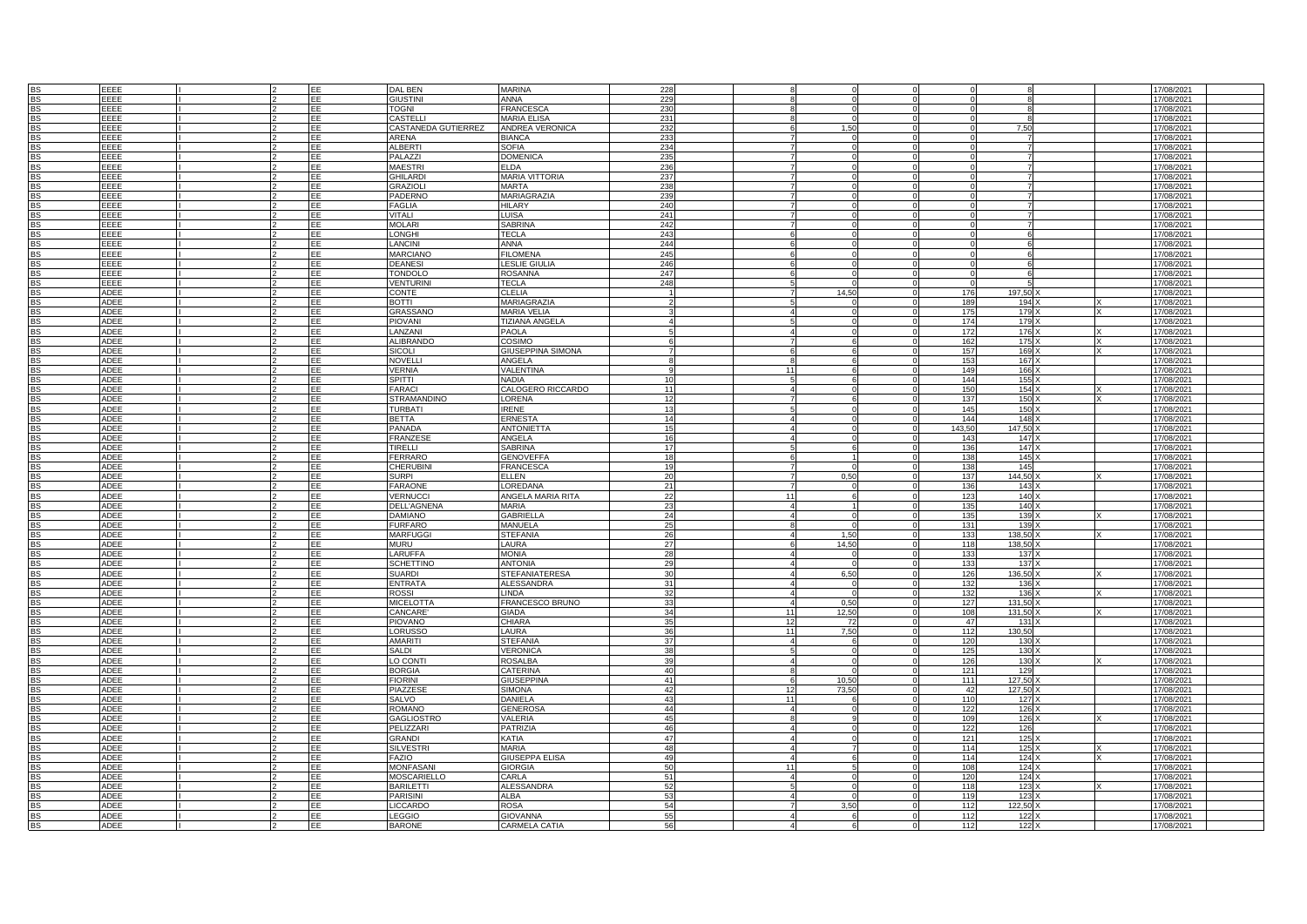| SS<br>SS       | EEEE        |  | EE         | DAL BEN             | <b>MARINA</b>            | 228 |                |       |                 |                  | 17/08/2021 |  |
|----------------|-------------|--|------------|---------------------|--------------------------|-----|----------------|-------|-----------------|------------------|------------|--|
|                | EEEE        |  | EE         | <b>GIUSTINI</b>     | <b>ANNA</b>              | 229 |                |       |                 |                  | 17/08/2021 |  |
| <b>BS</b>      | EEEE        |  | EE         | <b>TOGNI</b>        | <b>FRANCESCA</b>         | 230 |                |       |                 |                  | 17/08/2021 |  |
|                |             |  |            |                     |                          |     |                |       |                 |                  |            |  |
| BS             | EEEE        |  | <b>FE</b>  | CASTELLI            | <b>MARIA ELISA</b>       | 231 |                |       |                 |                  | 17/08/2021 |  |
| <b>BS</b>      | EEEE        |  | EE         | CASTANEDA GUTIERREZ | ANDREA VERONICA          | 232 |                | 1.50  |                 | 7.50             | 17/08/2021 |  |
|                |             |  |            |                     |                          |     |                |       |                 |                  |            |  |
| <b>BS</b>      | EEEE        |  | EE         | ARENA               | <b>BIANCA</b>            | 233 |                |       |                 |                  | 17/08/2021 |  |
| <b>BS</b>      | EEEE        |  | EE         | <b>ALBERTI</b>      | <b>SOFIA</b>             | 234 |                |       |                 |                  | 17/08/2021 |  |
|                |             |  |            |                     |                          |     |                |       |                 |                  |            |  |
| <b>BS</b>      | EEEE        |  | EE         | PALAZZI             | <b>DOMENICA</b>          | 235 |                |       |                 |                  | 17/08/2021 |  |
| BS             | EEEE        |  | EE         | <b>MAESTRI</b>      | <b>ELDA</b>              | 236 |                |       |                 |                  | 17/08/2021 |  |
|                |             |  |            |                     |                          |     |                |       |                 |                  |            |  |
| BS<br>BS       | EEEE        |  | EE         | <b>GHILARDI</b>     | <b>MARIA VITTORIA</b>    | 237 |                |       |                 |                  | 17/08/2021 |  |
|                | EEEE        |  | EE         | GRAZIOLI            | <b>MARTA</b>             | 238 |                |       |                 |                  | 17/08/2021 |  |
|                |             |  |            |                     |                          |     |                |       |                 |                  |            |  |
| <b>BS</b>      | EEEE        |  | EE         | PADERNO             | MARIAGRAZIA              | 239 |                |       |                 |                  | 17/08/2021 |  |
| BS             | EEEE        |  | EE         | <b>FAGLIA</b>       | <b>HILARY</b>            | 240 |                |       |                 |                  | 17/08/2021 |  |
|                | EEEE        |  | EE         | VITALI              | <b>LUISA</b>             | 241 |                |       |                 |                  | 17/08/2021 |  |
| <b>BS</b>      |             |  |            |                     |                          |     |                |       |                 |                  |            |  |
| BS<br>BS       | EEEE        |  | EE         | <b>MOLARI</b>       | <b>SABRINA</b>           | 242 |                |       |                 |                  | 17/08/2021 |  |
|                | EEEE        |  | EE         | <b>LONGHI</b>       | <b>TECLA</b>             | 243 |                |       |                 |                  | 17/08/2021 |  |
|                |             |  |            |                     |                          |     |                |       |                 |                  |            |  |
| BS             | EEEE        |  | EE         | <b>LANCINI</b>      | <b>ANNA</b>              | 244 |                |       |                 |                  | 17/08/2021 |  |
| <b>BS</b>      | EEEE        |  | EE         | <b>MARCIANO</b>     | <b>FILOMENA</b>          | 245 |                |       |                 |                  | 17/08/2021 |  |
|                |             |  |            |                     |                          |     |                |       |                 |                  |            |  |
| <b>BS</b>      | EEEE        |  | EE         | <b>DEANESI</b>      | <b>LESLIE GIULIA</b>     | 246 |                |       |                 |                  | 17/08/2021 |  |
| <b>BS</b>      | EEEE        |  | EE         | <b>TONDOLO</b>      | <b>ROSANNA</b>           | 247 |                |       |                 | $\kappa$         | 17/08/2021 |  |
|                |             |  |            |                     |                          |     |                |       |                 |                  |            |  |
| <b>BS</b>      | EEEE        |  | EE         | <b>VENTURINI</b>    | <b>TECLA</b>             | 248 |                |       |                 |                  | 17/08/2021 |  |
| <b>BS</b>      | <b>ADEE</b> |  | EE         | <b>CONTE</b>        | <b>CLELIA</b>            |     |                | 14.50 | 176             | 197.50           | 17/08/2021 |  |
|                |             |  |            |                     |                          |     |                |       |                 |                  |            |  |
| <b>BS</b>      | ADEE        |  | EE         | <b>BOTTI</b>        | MARIAGRAZIA              |     |                |       | 189             | $194 \times$     | 17/08/2021 |  |
| <b>BS</b>      | ADEE        |  | EE         | GRASSANO            | <b>MARIA VELIA</b>       |     |                |       | 175             | 179 X            | 17/08/2021 |  |
|                |             |  | EE.        |                     |                          |     |                |       | 174             |                  |            |  |
| <b>BS</b>      | ADEE        |  |            | <b>PIOVANI</b>      | <b>TIZIANA ANGELA</b>    |     |                |       |                 | 179              | 17/08/2021 |  |
| <b>BS</b>      | ADEE        |  | EE         | LANZANI             | <b>PAOLA</b>             |     |                |       | 172             | 176              | 17/08/2021 |  |
| <b>BS</b>      | <b>ADEE</b> |  | EE         | <b>ALIBRANDO</b>    | COSIMO                   |     |                |       | 162             | 175              |            |  |
|                |             |  |            |                     |                          |     |                |       |                 |                  | 17/08/2021 |  |
| <b>BS</b>      | <b>ADEE</b> |  | EE         | SICOLI              | <b>GIUSEPPINA SIMONA</b> |     |                |       | 157             | 169              | 17/08/2021 |  |
| BS             | <b>ADEE</b> |  | EE         | NOVELLI             | ANGELA                   |     |                |       | 153             | 167              | 17/08/2021 |  |
|                |             |  |            |                     |                          |     |                |       |                 |                  |            |  |
| BS<br>BS       | <b>ADEE</b> |  | EE         | <b>VERNIA</b>       | VALENTINA                |     | 11             |       | 149             | 166              | 17/08/2021 |  |
|                | <b>ADEE</b> |  | EE         | SPITTI              | <b>NADIA</b>             | 10  |                |       | 144             | 155              | 17/08/2021 |  |
|                |             |  |            |                     |                          |     |                |       |                 |                  |            |  |
|                | ADEE        |  | EE         | <b>FARACI</b>       | CALOGERO RICCARDO        | 11  |                |       | 150             | 154              | 17/08/2021 |  |
| BS<br>BS       | ADEE        |  | EE         | <b>STRAMANDINO</b>  | LORENA                   | 12  |                |       | 137             | 150              | 17/08/2021 |  |
|                |             |  |            |                     |                          |     |                |       |                 |                  |            |  |
| <b>BS</b>      | <b>ADEE</b> |  | EE         | <b>TURBATI</b>      | <b>IRENE</b>             | 13  |                |       | 145             | 150              | 17/08/2021 |  |
| <b>BS</b>      | <b>ADEE</b> |  | EE         | <b>BETTA</b>        | ERNESTA                  | 14  |                |       | 144             | 148              | 17/08/2021 |  |
|                |             |  |            |                     |                          |     |                |       |                 |                  |            |  |
| <b>BS</b>      | <b>ADEE</b> |  | EE         | PANADA              | <b>ANTONIETT</b>         | 15  |                |       | 143.5           | 147.50           | 17/08/2021 |  |
| <b>BS</b>      | <b>ADEE</b> |  | EE         | <b>FRANZESE</b>     | ANGELA                   | 16  |                |       | 143             | 147              | 17/08/2021 |  |
|                |             |  |            |                     |                          |     |                |       |                 |                  |            |  |
| <b>BS</b>      | ADEE        |  | EE         | TIRELLI             | <b>SABRINA</b>           | 17  |                |       | 136             | 147              | 17/08/2021 |  |
| <b>BS</b>      | ADEE        |  | EE         | <b>FERRARO</b>      | <b>GENOVEFFA</b>         | 18  |                |       | 138             | 145              | 17/08/2021 |  |
|                |             |  |            | <b>CHERUBINI</b>    |                          | 19  |                |       |                 | 145              |            |  |
| <b>BS</b>      | ADEE        |  | EE         |                     | <b>FRANCESCA</b>         |     |                |       | 138             |                  | 17/08/2021 |  |
| <b>BS</b>      | ADEE        |  | EE         | SURPI               | <b>ELLEN</b>             | 20  |                | 0,50  | 137             | 144,50           | 17/08/2021 |  |
| BS             | <b>ADEE</b> |  | EE         | <b>FARAONE</b>      | <b>LOREDANA</b>          | 21  |                |       | 136             | 143              | 17/08/2021 |  |
|                |             |  |            |                     |                          |     |                |       |                 |                  |            |  |
| BS             | <b>ADEE</b> |  | EE         | <b>VERNUCCI</b>     | ANGELA MARIA RITA        | 22  | 11             |       | 123             | 140              | 17/08/2021 |  |
| BS             | <b>ADEE</b> |  | EE         | <b>DELL'AGNENA</b>  | <b>MARIA</b>             | 23  |                |       | 135             | 140              | 17/08/2021 |  |
|                |             |  |            |                     |                          |     |                |       |                 |                  |            |  |
| BS             | <b>ADEE</b> |  | EE         | <b>DAMIANO</b>      | <b>GABRIELLA</b>         | 24  |                |       | 135             | 139              | 17/08/2021 |  |
| <b>BS</b>      | ADEE        |  | EE         | <b>FURFARO</b>      | MANUELA                  | 25  |                |       | 131             | 139              | 17/08/2021 |  |
|                |             |  |            |                     |                          |     |                |       |                 |                  |            |  |
| <b>BS</b>      | ADEE        |  | EE         | <b>MARFUGGI</b>     | <b>STEFANIA</b>          | 26  |                | 1,50  | 133             | 138,50           | 17/08/2021 |  |
| <b>BS</b>      | <b>ADEE</b> |  | EE         | <b>MURU</b>         | LAURA                    | 27  |                | 14,50 | 118             | 138,50           | 17/08/2021 |  |
|                |             |  |            |                     |                          |     |                |       |                 |                  |            |  |
| <b>BS</b>      | <b>ADEE</b> |  | EE         | <b>LARUFFA</b>      | <b>MONIA</b>             | 28  |                |       | 133             | 137              | 17/08/2021 |  |
| BS             | <b>ADEE</b> |  | EE         | <b>SCHETTING</b>    | <b>ANTONIA</b>           | 29  |                |       | 13'             | 137              | 17/08/2021 |  |
|                | <b>ADEE</b> |  | EE         |                     |                          | 30  |                |       |                 | 136.50           |            |  |
| <b>BS</b>      |             |  |            | SUARDI              | <b>STEFANIATERESA</b>    |     |                | 6.50  | 126             |                  | 17/08/2021 |  |
| <b>BS</b>      | <b>ADEE</b> |  | EE         | ENTRATA             | <b>ALESSANDRA</b>        |     |                |       | 130             | 136              | 17/08/2021 |  |
| <b>BS</b>      | <b>ADEE</b> |  | EE         | ROSSI               | <b>LINDA</b>             | 32  |                |       | 132             | 136              | 17/08/2021 |  |
|                |             |  |            |                     |                          |     |                |       |                 |                  |            |  |
| <b>BS</b>      | ADEE        |  | EE         | <b>MICELOTTA</b>    | FRANCESCO BRUNO          | 33  |                | 0.50  | 127             | 131,50           | 17/08/2021 |  |
| <b>BS</b>      | ADEE        |  | EE         | CANCARE'            | <b>GIADA</b>             | 34  | 11             | 12,50 | 108             | 131,50           | 17/08/2021 |  |
|                |             |  |            |                     |                          |     |                |       |                 |                  |            |  |
| BS             | ADEE        |  | EE         | <b>PIOVANO</b>      | <b>CHIARA</b>            | 35  | 12             | 72    | 47              | 131              | 17/08/2021 |  |
| <b>BS</b>      | ADEE        |  | EE         | LORUSSO             | <b>LAURA</b>             | 36  | 11             | 7.50  | 112             | 130,50           | 17/08/2021 |  |
|                |             |  |            |                     |                          |     |                |       |                 |                  |            |  |
| <b>BS</b>      | ADEE        |  | EE         | AMARITI             | <b>STEFANIA</b>          | 37  |                |       | 120             | 130              | 17/08/2021 |  |
| BS             | <b>ADEE</b> |  | FF         | SALDI               | VERONICA                 | 38  |                |       | 125             | 130              | 17/08/2021 |  |
|                |             |  |            |                     |                          |     |                |       |                 |                  |            |  |
| BS             | <b>ADEE</b> |  | EE         | O CONTI             | <b>ROSALBA</b>           |     |                |       | 126             | 130              | 17/08/2021 |  |
| BS             | <b>ADEE</b> |  | EE         | <b>BORGIA</b>       | CATERINA                 | 40  |                |       | 121             | 129              | 17/08/2021 |  |
|                |             |  | EE         | <b>FIORINI</b>      |                          | 41  |                |       | 111             |                  |            |  |
| <b>BS</b>      | <b>ADEE</b> |  |            |                     | <b>GIUSEPPINA</b>        |     |                | 10,50 |                 | 127,50           | 17/08/2021 |  |
|                | ADEE        |  | EE         | PIAZZESE            | <b>SIMONA</b>            | 42  | 12             | 73,50 | 42              | 127,50           | 17/08/2021 |  |
| BS<br>BS<br>BS | <b>ADEE</b> |  | <b>TEE</b> |                     |                          | 43  | 11             |       | 110             |                  |            |  |
|                |             |  |            | SALVO               | <b>DANIELA</b>           |     |                |       |                 | 127              | 17/08/2021 |  |
|                | ADEE        |  | EE         | <b>ROMANO</b>       | <b>GENEROSA</b>          | 44  | $\overline{A}$ |       | 122             | 126              | 17/08/2021 |  |
| <b>BS</b>      | <b>ADEE</b> |  | EE         | GAGLIOSTRO          | <b>VALERIA</b>           | 45  |                |       | 10 <sub>S</sub> | 126              | 17/08/2021 |  |
|                |             |  |            |                     |                          |     |                |       |                 |                  |            |  |
| <b>BS</b>      | ADEE        |  | EE         | PELIZZARI           | <b>PATRIZIA</b>          | 46  |                |       | 122             | 126              | 17/08/2021 |  |
| BS             | <b>ADEE</b> |  | EE         | <b>GRANDI</b>       | <b>KATIA</b>             | 47  |                |       | 121             | 125              | 17/08/2021 |  |
|                |             |  |            |                     |                          |     |                |       |                 |                  |            |  |
| BS             | <b>ADEE</b> |  | EE         | <b>SILVESTR</b>     | <b>MARIA</b>             | 48  |                |       | 114             | 125              | 17/08/2021 |  |
| BS             | <b>ADEE</b> |  | EE         | <b>FAZIO</b>        | <b>GIUSEPPA ELISA</b>    | 49  |                |       | 114             | 124              | 17/08/2021 |  |
|                |             |  |            |                     |                          |     |                |       |                 |                  |            |  |
| <b>BS</b>      | ADEE        |  | EE         | <b>MONFASANI</b>    | <b>GIORGIA</b>           | 50  | 11             |       | 108             | 124 <sub>x</sub> | 17/08/2021 |  |
|                | ADEE        |  | EE         | <b>MOSCARIELLO</b>  | CARLA                    | 51  | $\overline{A}$ |       | 120             | 124              | 17/08/2021 |  |
| BS<br>BS       |             |  |            |                     |                          |     |                |       |                 |                  |            |  |
|                | ADEE        |  | EE         | <b>BARILETTI</b>    | <b>ALESSANDRA</b>        | 52  |                |       | 118             | 123              | 17/08/2021 |  |
| BS             | ADEE        |  | EE         | <b>PARISINI</b>     | <b>ALBA</b>              | 53  |                | C     | 119             | 123              | 17/08/2021 |  |
|                |             |  |            |                     |                          |     |                |       |                 |                  |            |  |
| BS<br>BS<br>BS | <b>ADEE</b> |  | EE         | LICCARDO            | <b>ROSA</b>              | 54  |                | 3,50  | 112             | 122,50           | 17/08/2021 |  |
|                | <b>ADEE</b> |  | EE         | <b>LEGGIO</b>       | <b>GIOVANNA</b>          | 55  |                |       | 112             | 122              | 17/08/2021 |  |
|                | <b>ADEE</b> |  | EE         |                     | <b>CARMELA CATIA</b>     | 56  |                |       | 112             | 122              |            |  |
|                |             |  |            | <b>BARONE</b>       |                          |     |                |       |                 |                  | 17/08/2021 |  |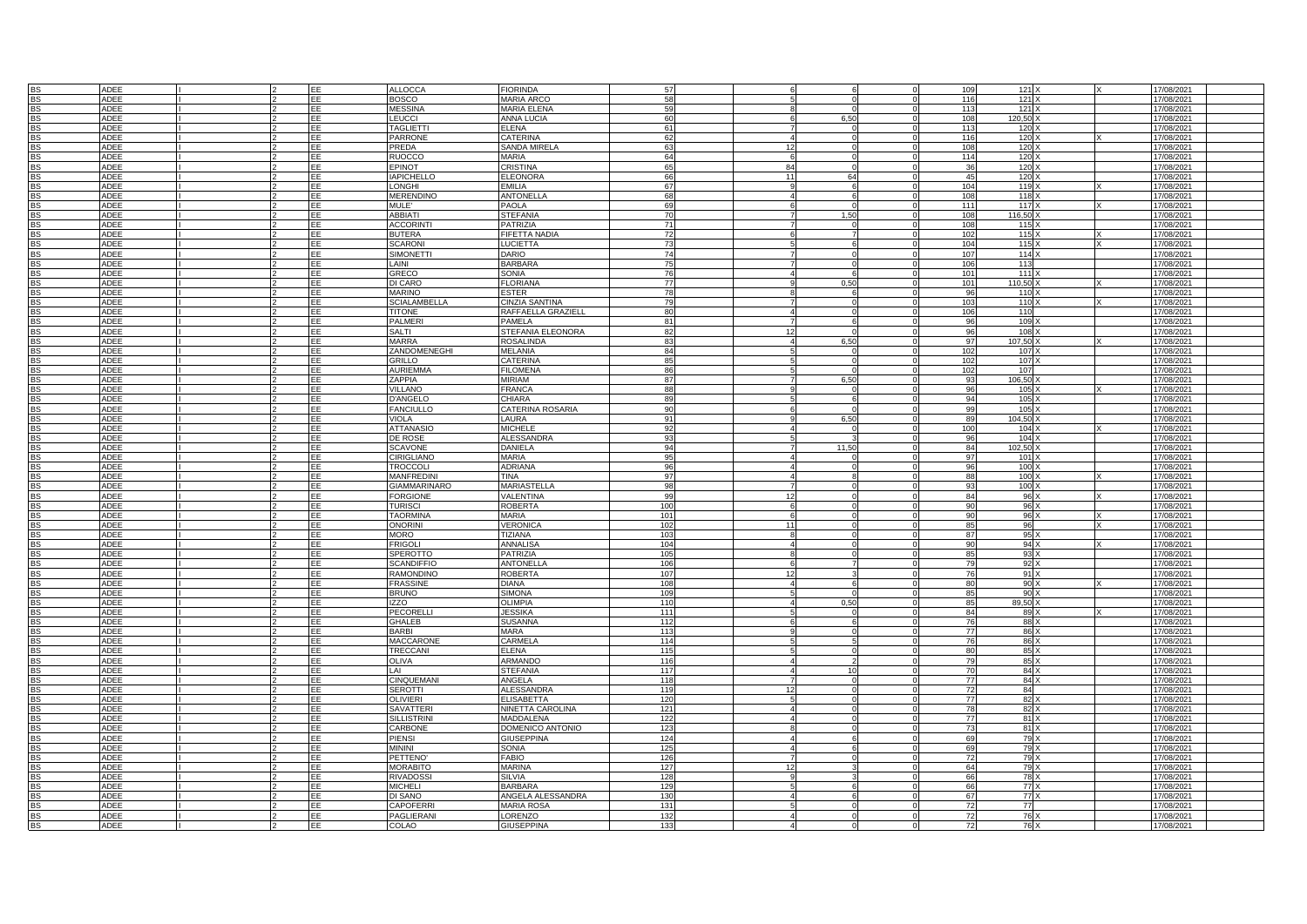|           | <b>ADEE</b> |  | EE         | <b>ALLOCCA</b>      | <b>FIORINDA</b>         | 57  |                |       | 109       | 121    | 17/08/2021 |  |
|-----------|-------------|--|------------|---------------------|-------------------------|-----|----------------|-------|-----------|--------|------------|--|
| <b>BS</b> | <b>ADEE</b> |  | EE         | <b>BOSCO</b>        | <b>MARIA ARCC</b>       | 58  |                |       | 116       | 121    | 17/08/2021 |  |
| <b>BS</b> | <b>ADEE</b> |  | EF         | <b>MESSINA</b>      | <b>MARIA ELENA</b>      | 59  |                |       | 113       | 121    | 17/08/2021 |  |
|           |             |  |            |                     |                         |     |                |       |           |        |            |  |
| <b>BS</b> | <b>ADEE</b> |  | EE         | LEUCCI              | <b>ANNA LUCIA</b>       | 60  |                | 6.50  | 108       | 120,50 | 17/08/2021 |  |
| <b>BS</b> | ADEE        |  | <b>TEE</b> | <b>TAGLIETT</b>     | <b>ELENA</b>            | 61  |                |       | 113       | 120    | 17/08/2021 |  |
| <b>BS</b> | ADEE        |  | EE         | <b>PARRONE</b>      | CATERINA                | 62  |                |       | 116       | 120    | 17/08/2021 |  |
|           |             |  |            |                     |                         |     |                |       |           |        |            |  |
| <b>BS</b> | ADEE        |  | EE         | PREDA               | SANDA MIRELA            | 63  | 12             |       | 108       | 120    | 17/08/2021 |  |
| <b>BS</b> | ADEE        |  | EE         | <b>RUOCCO</b>       | MARIA                   | 64  |                |       | 114       | 120    | 17/08/2021 |  |
| <b>BS</b> | ADEE        |  | EE         | EPINOT              | <b>CRISTINA</b>         | 65  | A <sub>4</sub> |       | 36        | 120    | 17/08/2021 |  |
|           |             |  |            |                     |                         |     |                |       |           |        |            |  |
| <b>BS</b> | ADEE        |  | EE         | <b>IAPICHELLO</b>   | <b>ELEONORA</b>         | 66  | 11             | 64    | 45        | 120    | 17/08/2021 |  |
| <b>BS</b> | <b>ADEE</b> |  | EE         | <b>LONGHI</b>       | EMILIA                  | 67  |                |       | 104       | 119    | 17/08/2021 |  |
| <b>BS</b> | <b>ADEE</b> |  | <b>EE</b>  | <b>MERENDINO</b>    | ANTONELLA               | 68  |                |       | 108       | 118    | 17/08/2021 |  |
|           |             |  |            |                     |                         |     |                |       |           |        |            |  |
|           | <b>ADEE</b> |  | <b>EE</b>  | <b>MULE</b> '       | <b>PAOLA</b>            | 69  |                |       | 111       | 117    | 17/08/2021 |  |
| 영<br>요    | ADEE        |  | EE         | <b>ABBIATI</b>      | <b>STEFANIA</b>         | 70  |                | 1.50  | 108       | 116,50 | 17/08/2021 |  |
| <b>BS</b> | <b>ADEE</b> |  | EE         | <b>ACCORINT</b>     | PATRIZIA                | 71  |                |       | 108       | 115    | 17/08/2021 |  |
|           |             |  |            |                     |                         |     |                |       |           |        |            |  |
| <b>BS</b> | ADEE        |  | EE         | <b>BUTERA</b>       | FIFETTA NADIA           | 72  |                |       | 102       | 115    | 17/08/2021 |  |
| <b>BS</b> | ADEE        |  | EF         | <b>SCARONI</b>      | <b>LUCIETTA</b>         | 73  |                |       | 104       | 115    | 17/08/2021 |  |
|           | <b>ADEE</b> |  | EF         | <b>SIMONETTI</b>    | DARIO                   | 74  |                |       | 107       | 114    | 17/08/2021 |  |
|           | <b>ADEE</b> |  | EE         |                     | <b>BARBARA</b>          | 75  |                |       |           | 113    |            |  |
| <b>BS</b> |             |  |            | <b>AINI</b>         |                         |     |                |       | 106       |        | 17/08/2021 |  |
| <b>RS</b> | ADEE        |  | FF.        | GRECO               | SONIA                   | 76  |                |       | 101       | 111    | 17/08/2021 |  |
| <b>BS</b> | ADEE        |  | EE         | DI CARO             | <b>FLORIANA</b>         | 77  |                | 0,50  | 101       | 110,50 | 17/08/2021 |  |
|           |             |  |            |                     |                         |     |                |       |           |        |            |  |
|           | ADEE        |  | <b>FF</b>  | <b>MARINO</b>       | ESTER                   | 78  |                |       | 96        | 110    | 17/08/2021 |  |
| <b>BS</b> | ADEE        |  | EE         | <b>SCIALAMBELLA</b> | CINZIA SANTINA          | 79  |                |       | 103       | 110    | 17/08/2021 |  |
| <b>BS</b> | ADEE        |  | EE         | <b>TITONE</b>       | RAFFAELLA GRAZIELL      | 80  |                |       | 106       | 110    | 17/08/2021 |  |
|           |             |  |            | PALMERI             | PAMELA                  |     |                |       | <b>Q</b>  |        |            |  |
|           | ADEE        |  | ΕF         |                     |                         | 81  |                |       |           | 109    | 17/08/2021 |  |
| <b>BS</b> | ADEE        |  | EE         | SALTI               | STEFANIA ELEONORA       | 82  |                |       | 96        | 108    | 17/08/2021 |  |
|           | <b>ADEE</b> |  | EE         | <b>MARRA</b>        | <b>ROSALINDA</b>        | 83  |                | 6.50  | 97        | 107.50 | 17/08/2021 |  |
|           |             |  |            |                     |                         |     |                |       |           |        |            |  |
| <b>BS</b> | <b>ADEE</b> |  | EE         | ZANDOMENEGHI        | <b>MELANIA</b>          | 84  |                |       | 102       | 107    | 17/08/2021 |  |
| <b>BS</b> | ADEE        |  | EE         | <b>GRILLO</b>       | CATERINA                | 85  |                |       | 102       | 107    | 17/08/2021 |  |
| <b>BS</b> | <b>ADEE</b> |  | EE         | <b>AURIEMMA</b>     | <b>FILOMENA</b>         | 96  |                |       | 102       | 107    | 17/08/2021 |  |
|           |             |  | EE         |                     |                         | 87  |                | 6,50  | q٩        |        |            |  |
| <b>BS</b> | ADEE        |  |            | ZAPPIA              | <b>MIRIAM</b>           |     |                |       |           | 106,50 | 17/08/2021 |  |
| <b>BS</b> | ADEE        |  | EE         | <b>VILLANO</b>      | <b>FRANCA</b>           | 88  |                |       | 96        | 105    | 17/08/2021 |  |
| <b>BS</b> | <b>ADEE</b> |  | EF         | <b>D'ANGELO</b>     | <b>CHIARA</b>           | RQ  |                |       | 94        | 105    | 17/08/2021 |  |
| <b>BS</b> | <b>ADEE</b> |  | EE         | <b>FANCIULLO</b>    | <b>CATERINA ROSARIA</b> | 90  |                |       | qc        | 105    | 17/08/2021 |  |
|           |             |  |            |                     |                         |     |                |       |           |        |            |  |
| <b>BS</b> | <b>ADEE</b> |  | EE         | <b>VIOLA</b>        | LAURA                   | 91  |                | 6.50  | <b>RC</b> | 104.50 | 17/08/2021 |  |
| <b>BS</b> | <b>ADEE</b> |  | EE         | <b>ATTANASIC</b>    | <b>MICHELE</b>          | 92  |                |       | 100       | 104    | 17/08/2021 |  |
| BS        | ADEE        |  | EE         | DE ROSE             | ALESSANDRA              | 93  |                |       | 96        | 104    |            |  |
|           |             |  |            |                     |                         |     |                |       |           |        | 17/08/2021 |  |
| <b>BS</b> | ADEE        |  | EE         | <b>SCAVONE</b>      | DANIELA                 | 94  |                | 11,50 | 84        | 102,50 | 17/08/2021 |  |
| BS        | <b>ADEE</b> |  | EE         | CIRIGLIANO          | MARIA                   | 95  |                |       | 97        | 101    | 17/08/2021 |  |
| <b>BS</b> | <b>ADEE</b> |  | EE         | TROCCOLI            | <b>ADRIANA</b>          | 96  |                |       | 96        | 100    | 17/08/2021 |  |
|           |             |  |            |                     |                         |     |                |       |           |        |            |  |
| <b>BS</b> | ADEE        |  | EE         | <b>MANFREDINI</b>   | TINA                    | 97  |                |       | 88        | 100    | 17/08/2021 |  |
| <b>BS</b> | <b>ADEE</b> |  | EE         | <b>GIAMMARINARO</b> | <b>MARIASTELLA</b>      | 98  |                |       | 93        | 100    | 17/08/2021 |  |
|           |             |  | EE         |                     |                         | 99  |                |       | 84        |        |            |  |
| <b>BS</b> | ADEE        |  |            | <b>FORGIONE</b>     | VALENTINA               |     |                |       |           | 96     | 17/08/2021 |  |
| <b>BS</b> | ADEE        |  | EE         | <b>TURISCI</b>      | <b>ROBERTA</b>          | 100 |                |       | ac        | 96     | 17/08/2021 |  |
| <b>BS</b> | <b>ADEE</b> |  | EE         | <b>TAORMINA</b>     | MARIA                   | 101 |                |       | <b>ar</b> | 96     | 17/08/2021 |  |
| BS        |             |  | EE         |                     |                         | 102 | 11             |       |           | 96     |            |  |
|           | ADEE        |  |            | <b>ONORINI</b>      | <b>VERONICA</b>         |     |                |       | 85        |        | 17/08/2021 |  |
| RS.       | ADEE        |  | EF         | <b>MORO</b>         | <b>TIZIANA</b>          | 103 |                |       | 87        | 95     | 17/08/2021 |  |
| <b>BS</b> | ADEE        |  | EE         | <b>FRIGOLI</b>      | <b>ANNALISA</b>         | 104 |                |       |           | 94     | 17/08/2021 |  |
| <b>BS</b> | <b>ADEE</b> |  | <b>EE</b>  | SPEROTTO            | PATRIZIA                | 105 |                |       | 8F        | 93     | 17/08/2021 |  |
|           |             |  |            |                     |                         |     |                |       |           |        |            |  |
|           | <b>ADEE</b> |  | EE         | <b>SCANDIFFIC</b>   | <b>ANTONELLA</b>        | 106 |                |       |           | 92     | 17/08/2021 |  |
|           | ADEE        |  | EE         | RAMONDINO           | <b>ROBERTA</b>          | 107 | 12             |       |           | 91     | 17/08/2021 |  |
| <b>BS</b> |             |  | EE         |                     | DIANA                   | 108 |                |       | 80        |        |            |  |
|           | ADEE        |  |            | <b>FRASSINE</b>     |                         |     |                |       |           | 90 X   | 17/08/2021 |  |
| <b>BS</b> | <b>ADEE</b> |  | EE         | <b>BRUNO</b>        | <b>SIMONA</b>           | 109 |                |       | 85        | 90     | 17/08/2021 |  |
| <b>BS</b> | <b>ADEE</b> |  | EE         | IZZO                | <b>OLIMPIA</b>          | 110 |                | 0,50  | 85        | 89,50  | 17/08/2021 |  |
| <b>BS</b> | <b>ADEE</b> |  | EE         | <b>PECORELLI</b>    | <b>JESSIKA</b>          | 111 |                |       | 84        | 89     | 17/08/2021 |  |
|           |             |  |            |                     |                         |     |                |       |           |        |            |  |
| <b>BS</b> | <b>ADEE</b> |  | EE         | <b>GHALEB</b>       | <b>SUSANNA</b>          | 112 |                |       | 76        | 88     | 17/08/2021 |  |
| <b>BS</b> | <b>ADEE</b> |  | EE         | BARBI               | <b>MARA</b>             | 113 |                |       | 77        | 86     | 17/08/2021 |  |
| <b>BS</b> | ADEE        |  | EE         | <b>MACCARONE</b>    | CARMELA                 | 114 |                |       | 76        | 86     | 17/08/2021 |  |
|           |             |  |            |                     |                         |     |                |       |           |        |            |  |
| <b>BS</b> | ADEE        |  | EE         | TRECCANI            | ELENA                   | 115 |                |       | 80        | 85     | 17/08/2021 |  |
| <b>BS</b> | ADEE        |  | EE         | <b>OLIVA</b>        | ARMANDC                 | 116 |                |       | <b>79</b> | 85     | 17/08/2021 |  |
| <b>BS</b> | <b>ADEE</b> |  | EE         | IAI                 | <b>STEFANIA</b>         | 117 |                | 10    | 70        | 84     | 17/08/2021 |  |
|           |             |  |            |                     |                         | 118 |                |       | 77        |        |            |  |
| <b>BS</b> | <b>ADEE</b> |  | EE         | <b>CINQUEMANI</b>   | ANGELA                  |     |                |       |           | 84     | 17/08/2021 |  |
| <b>BS</b> | ADEE        |  | EF         | <b>SEROTTI</b>      | <b>ALESSANDRA</b>       | 119 |                |       | 72        | 84     | 17/08/2021 |  |
| <b>BS</b> | <b>ADEE</b> |  | EE         | <b>OLIVIERI</b>     | <b>ELISABETTA</b>       | 120 |                |       | 77        | 82     | 17/08/2021 |  |
|           |             |  |            |                     |                         |     |                |       |           |        |            |  |
| <b>BS</b> | ADEE        |  | EE         | <b>SAVATTER</b>     | NINETTA CAROLINA        | 121 |                |       | 78        | 82     | 17/08/2021 |  |
| <b>BS</b> | ADEE        |  | EE         | <b>SILLISTRINI</b>  | MADDALENA               | 122 |                |       | 77        | 81     | 17/08/2021 |  |
| <b>BS</b> | ADEE        |  | EE         | CARBONE             | DOMENICO ANTONIO        | 123 |                |       | 73        | 81     | 17/08/2021 |  |
|           |             |  |            |                     |                         |     |                |       |           |        |            |  |
| <b>BS</b> | ADEE        |  | EE         | PIENSI              | <b>GIUSEPPINA</b>       | 124 |                |       | 69        | 79     | 17/08/2021 |  |
| <b>BS</b> | ADEE        |  | EE         | <b>MININI</b>       | SONIA                   | 125 |                |       | 69        | 79     | 17/08/2021 |  |
| <b>BS</b> | ADEE        |  | EE         | <b>PETTENO</b>      | <b>FABIO</b>            | 126 |                |       | 72        | 79     | 17/08/2021 |  |
|           |             |  | EE         | <b>MORABITO</b>     | <b>MARINA</b>           |     |                |       |           |        |            |  |
| <b>BS</b> | ADEE        |  |            |                     |                         | 127 |                |       | 64        | 79     | 17/08/2021 |  |
| <b>BS</b> | <b>ADEE</b> |  | <b>EE</b>  | <b>RIVADOSSI</b>    | <b>SILVIA</b>           | 128 |                |       | 66        | 78     | 17/08/2021 |  |
| <b>BS</b> | <b>ADEE</b> |  | FF         | <b>MICHELI</b>      | <b>BARBARA</b>          | 129 |                |       |           | 77     | 17/08/2021 |  |
| <b>BS</b> |             |  | EE         |                     |                         |     |                |       | 67        | 77     |            |  |
|           | <b>ADEE</b> |  |            | DI SANO             | ANGELA ALESSANDRA       | 130 |                |       |           |        | 17/08/2021 |  |
| <b>BS</b> | ADEE        |  | EE         | CAPOFERRI           | <b>MARIA ROSA</b>       | 131 |                |       | 72        | 77     | 17/08/2021 |  |
| <b>BS</b> | ADEE        |  | EF         | PAGLIERANI          | LORENZO                 | 132 |                |       |           | 76     | 17/08/2021 |  |
| <b>BS</b> | ADEE        |  | EF         | COLAO               | GIUSEPPINA              | 12  |                |       |           | 76     | 17/08/2021 |  |
|           |             |  |            |                     |                         |     |                |       |           |        |            |  |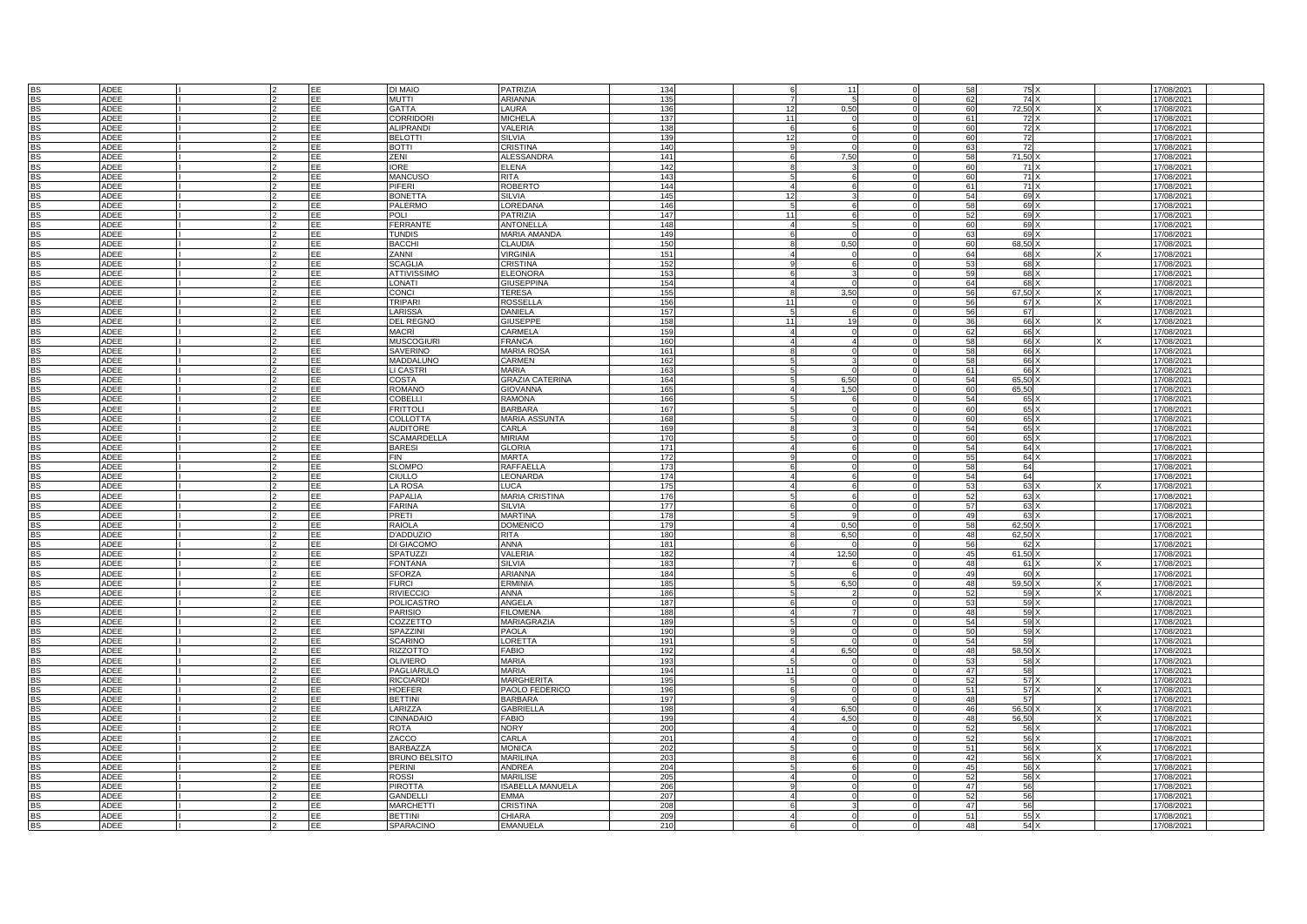|           | <b>ADEE</b> |  | EE         | DI MAIO              | PATRIZIA                | 134 |                      |       |                | 75     |            |  |
|-----------|-------------|--|------------|----------------------|-------------------------|-----|----------------------|-------|----------------|--------|------------|--|
|           |             |  |            |                      |                         |     |                      |       |                |        | 17/08/2021 |  |
| <b>BS</b> | ADEE        |  | EE         | <b>MUTTI</b>         | <b>ARIANNA</b>          | 135 |                      |       | 62             | 74     | 17/08/2021 |  |
| <b>BS</b> | <b>ADEE</b> |  | EF         | <b>GATTA</b>         | LAURA                   | 136 |                      | 0.50  | 60             | 72.50  | 17/08/2021 |  |
| <b>BS</b> | ADEE        |  | EF         | CORRIDOR             | <b>MICHELA</b>          | 137 | $\ddot{\phantom{1}}$ |       | 61             | 72     | 17/08/2021 |  |
| <b>BS</b> | ADEE        |  | <b>IEE</b> | <b>ALIPRANDI</b>     | VALERIA                 | 138 |                      |       | 60             | 72     | 17/08/2021 |  |
|           | ADEE        |  | EE         | <b>BELOTTI</b>       | <b>SILVIA</b>           | 139 | 12                   |       | 60             | 72     | 17/08/2021 |  |
| <b>BS</b> |             |  |            |                      |                         |     |                      |       |                |        |            |  |
| <b>BS</b> | ADEE        |  | EE         | <b>BOTTI</b>         | CRISTINA                | 140 |                      |       | 63             | 72     | 17/08/2021 |  |
| <b>BS</b> | ADEE        |  | EE         | ZENI                 | <b>ALESSANDRA</b>       | 141 |                      | 7,50  | 58             | 71,50  | 17/08/2021 |  |
| <b>BS</b> | ADEE        |  | EE         | <b>IORE</b>          | <b>ELENA</b>            | 142 |                      |       | 60             | 71     | 17/08/2021 |  |
|           | ADEE        |  | EE         | <b>MANCUSO</b>       |                         | 143 |                      |       | 60             |        |            |  |
| BS        |             |  |            |                      | RITA                    |     |                      |       |                | 71     | 17/08/2021 |  |
| <b>BS</b> | <b>ADEE</b> |  | EE         | PIFERI               | <b>ROBERTO</b>          | 144 |                      |       | 61             | 71     | 17/08/2021 |  |
| <b>BS</b> | ADEE        |  | EE         | <b>BONETTA</b>       | <b>SILVIA</b>           | 145 |                      |       | 54             | 69     | 17/08/2021 |  |
| <b>BS</b> | <b>ADEE</b> |  | EE         | PALERMO              | LOREDANA                | 146 |                      |       |                | 69     | 17/08/2021 |  |
| <b>BS</b> | ADEE        |  | EE         | <b>POLI</b>          | PATRIZIA                | 147 | 11                   |       | 52             | 69     | 17/08/2021 |  |
|           |             |  |            |                      |                         |     |                      |       |                |        |            |  |
| <b>BS</b> | ADEE        |  | EE         | <b>FERRANTE</b>      | <b>ANTONELLA</b>        | 148 |                      |       | 6C             | 69     | 17/08/2021 |  |
| <b>BS</b> | ADEE        |  | EE         | <b>TUNDIS</b>        | MARIA AMANDA            | 149 |                      |       | 63             | 69     | 17/08/2021 |  |
| <b>BS</b> | ADEE        |  | EE         | <b>BACCHI</b>        | <b>CLAUDIA</b>          | 150 |                      | 0.50  | 60             | 68,50  | 17/08/2021 |  |
| <b>BS</b> | <b>ADEE</b> |  | EE         | ZANNI                | <b>VIRGINIA</b>         | 151 |                      |       | 64             | 68     | 17/08/2021 |  |
|           |             |  |            |                      |                         |     |                      |       |                |        |            |  |
| <b>BS</b> | ADEE        |  | EE         | <b>SCAGLIA</b>       | CRISTINA                | 152 |                      |       |                | 68     | 17/08/2021 |  |
| <b>BS</b> | <b>ADEE</b> |  | EE         | <b>ATTIVISSIMO</b>   | <b>ELEONORA</b>         | 153 |                      |       | 50             | 68     | 17/08/2021 |  |
| <b>BS</b> | <b>ADEE</b> |  | <b>EE</b>  | <b>ONATI</b>         | <b>GIUSEPPINA</b>       | 154 |                      |       | 64             | 68     | 17/08/2021 |  |
|           | ADEE        |  | EE         | CONCI                | TERESA                  | 155 |                      | 3.50  | 56             | 67,50  | 17/08/2021 |  |
|           |             |  |            |                      |                         |     |                      |       |                |        |            |  |
| <b>BS</b> | ADEE        |  | EE         | <b>TRIPARI</b>       | ROSSELLA                | 156 | 11                   |       | 56             | 67 X   | 17/08/2021 |  |
|           | <b>ADEE</b> |  | EE         | LARISSA              | DANIELA                 | 157 |                      |       | 56             | 67     | 17/08/2021 |  |
| <b>BS</b> | ADEE        |  | EE         | <b>DEL REGNO</b>     | <b>GIUSEPPE</b>         | 158 | 11                   | 19    | 36             | 66     | 17/08/2021 |  |
| <b>BS</b> | ADEE        |  | EE         | MACRÌ                | CARMELA                 | 159 |                      |       | 62             | 66     | 17/08/2021 |  |
|           |             |  |            |                      |                         |     |                      |       |                |        |            |  |
|           | <b>ADEE</b> |  | EF         | <b>MUSCOGIURI</b>    | <b>FRANCA</b>           | 160 |                      |       | 58             | 66     | 17/08/2021 |  |
| <b>BS</b> | <b>ADEE</b> |  | EE         | SAVERINO             | <b>MARIA ROSA</b>       | 161 |                      |       | 58             | 66     | 17/08/2021 |  |
| <b>BS</b> | ADEE        |  | EE         | MADDALUNO            | CARMEN                  | 162 |                      |       | 58             | 66     | 17/08/2021 |  |
| <b>BS</b> | ADEE        |  | EE         | LI CASTRI            | MARIA                   | 163 |                      |       | 61             | 66     | 17/08/2021 |  |
|           |             |  |            |                      |                         |     |                      |       |                |        |            |  |
| <b>BS</b> | ADEE        |  | EE         | COSTA                | <b>GRAZIA CATERINA</b>  | 164 |                      | 6,50  | 54             | 65,50  | 17/08/2021 |  |
| <b>BS</b> | ADEE        |  | EE         | <b>ROMANO</b>        | <b>GIOVANNA</b>         | 165 |                      | 1.50  | 60             | 65,50  | 17/08/2021 |  |
| <b>BS</b> | ADEE        |  | EE         | <b>COBELLI</b>       | <b>RAMONA</b>           | 166 |                      |       | 54             | 65     | 17/08/2021 |  |
| <b>BS</b> | ADEE        |  | EF         | <b>FRITTOL</b>       | <b>BARBARA</b>          | 167 |                      |       | 6ſ             | 65     | 17/08/2021 |  |
|           |             |  |            |                      |                         |     |                      |       |                |        |            |  |
| <b>BS</b> | ADEE        |  | EF         | COLLOTTA             | <b>MARIA ASSUNTA</b>    | 168 |                      |       | 6ſ             | 65     | 17/08/2021 |  |
| <b>BS</b> | <b>ADEE</b> |  | EE         | <b>AUDITORE</b>      | CARLA                   | 169 |                      |       | 54             | 65     | 17/08/2021 |  |
| <b>BS</b> | ADEE        |  | EE         | <b>SCAMARDELLA</b>   | <b>MIRIAM</b>           | 170 |                      |       | 60             | 65     | 17/08/2021 |  |
|           |             |  |            |                      | <b>GLORIA</b>           | 171 |                      |       | 54             |        |            |  |
| <b>BS</b> | ADEE        |  | EE         | <b>BARESI</b>        |                         |     |                      |       |                | 64)    | 17/08/2021 |  |
| BS        | ADEE        |  | EE         | <b>FIN</b>           | MARTA                   | 172 |                      |       | 55             | 64     | 17/08/2021 |  |
| <b>BS</b> | <b>ADEE</b> |  | EE         | <b>SLOMPO</b>        | RAFFAFILI               | 173 |                      |       | 58             | 64     | 17/08/2021 |  |
| <b>BS</b> | ADEE        |  | EE         | CIULLO               | LEONARDA                | 174 |                      |       | 54             | 64     | 17/08/2021 |  |
|           |             |  |            |                      |                         |     |                      |       |                |        |            |  |
| <b>BS</b> | <b>ADEE</b> |  | EE         | LA ROSA              | <b>LUCA</b>             | 175 |                      |       |                | 63     | 17/08/2021 |  |
| <b>BS</b> | <b>ADEE</b> |  | EE         | <b>PAPALIA</b>       | <b>MARIA CRISTINA</b>   | 176 |                      |       | 52             | 63     | 17/08/2021 |  |
| <b>BS</b> | ADEE        |  | EE         | <b>FARINA</b>        | <b>SILVIA</b>           | 177 |                      |       | 57             | 63     | 17/08/2021 |  |
| <b>BS</b> | <b>ADEE</b> |  | EE         | PRETI                | <b>MARTINA</b>          | 178 |                      |       | 49             | 63     | 17/08/2021 |  |
|           |             |  |            |                      |                         |     |                      |       |                |        |            |  |
| <b>BS</b> | ADEE        |  | EE         | <b>RAIOLA</b>        | <b>DOMENICO</b>         | 179 |                      | 0,50  | 58             | 62,50  | 17/08/2021 |  |
| <b>BS</b> | <b>ADEE</b> |  | EE         | <b>D'ADDUZIC</b>     | RITA                    | 180 |                      | 6.50  | 48             | 62,50  | 17/08/2021 |  |
| <b>BS</b> | ADEE        |  | EE         | DI GIACOMO           | <b>ANNA</b>             | 181 |                      |       | 56             | 62     | 17/08/2021 |  |
| <b>BS</b> | ADEE        |  | EE         | <b>SPATUZZI</b>      | VALERIA                 | 182 |                      | 12,50 | 45             | 61,50  | 17/08/2021 |  |
|           |             |  |            |                      |                         |     |                      |       |                |        |            |  |
|           | <b>ADEE</b> |  | EF         | <b>FONTANA</b>       | <b>SILVIA</b>           | 183 |                      |       | $\Delta$       | 61     | 17/08/2021 |  |
| <b>BS</b> | <b>ADEE</b> |  | EE         | <b>SFORZA</b>        | ARIANNA                 | 184 |                      |       | 4 <sup>c</sup> | 60     | 17/08/2021 |  |
| <b>BS</b> | <b>ADEE</b> |  | <b>EE</b>  | <b>FURCI</b>         | ERMINIA                 | 185 |                      | 6.50  | 48             | 59.50  | 17/08/2021 |  |
|           | <b>ADEE</b> |  | EE         | <b>RIVIECCIO</b>     | ANNA                    | 186 |                      |       | 52             | 59     | 17/08/2021 |  |
|           |             |  |            |                      |                         |     |                      |       |                |        |            |  |
| <b>BS</b> | <b>ADEE</b> |  | EE         | <b>POLICASTRO</b>    | ANGELA                  | 187 |                      |       | 53             | 59     | 17/08/2021 |  |
| <b>BS</b> | ADEE        |  | EE         | <b>PARISIO</b>       | <b>FILOMENA</b>         | 188 |                      |       | 48             | $59$ ) | 17/08/2021 |  |
| <b>BS</b> | <b>ADEE</b> |  | EE         | COZZETTO             | MARIAGRAZIA             | 189 |                      |       | 54             | 59     | 17/08/2021 |  |
| <b>BS</b> | <b>ADEE</b> |  | EF         | <b>SPAZZINI</b>      | <b>PAOLA</b>            | 190 |                      |       | 50             | 59     | 17/08/2021 |  |
|           |             |  |            |                      |                         |     |                      |       |                |        |            |  |
| <b>BS</b> | <b>ADEE</b> |  | EE         | <b>SCARINO</b>       | LORETTA                 | 191 |                      |       | 54             | 59     | 17/08/2021 |  |
| <b>BS</b> | <b>ADEE</b> |  | EE         | RIZZOTTO             | FABIO                   | 192 |                      | 6.50  | 48             | 58,50  | 17/08/2021 |  |
| <b>BS</b> | ADEE        |  | <b>EE</b>  | OLIVIERO             | MARIA                   | 193 |                      |       | 53             | 58     | 17/08/2021 |  |
| <b>BS</b> | ADEE        |  | EE         | PAGLIARULO           | MARIA                   | 194 | 1 <sup>1</sup>       |       | 47             | 58     | 17/08/2021 |  |
|           |             |  |            |                      |                         |     |                      |       |                |        |            |  |
| <b>BS</b> | ADEE        |  | EE         | <b>RICCIARDI</b>     | <b>MARGHERITA</b>       | 195 |                      |       | 52             | 57     | 17/08/2021 |  |
| <b>BS</b> | ADEE        |  | EE         | <b>HOEFER</b>        | PAOLO FEDERICO          | 196 |                      |       | 51             | 57     | 17/08/2021 |  |
| <b>BS</b> | ADEE        |  | EE         | <b>BETTINI</b>       | <b>BARBARA</b>          | 197 |                      |       | 48             | 57     | 17/08/2021 |  |
| <b>BS</b> | <b>ADEE</b> |  | EE         | ARIZZA               | <b>GABRIELLA</b>        | 198 |                      | 6.50  | 46             | 56.50  | 17/08/2021 |  |
|           |             |  |            |                      |                         |     |                      |       |                |        |            |  |
| <b>BS</b> | <b>ADFF</b> |  | EF         | <b>CINNADAIC</b>     | <b>FABIO</b>            | 199 |                      | 4.50  | 48             | 56.50  | 17/08/2021 |  |
| <b>BS</b> | <b>ADEE</b> |  | EE         | <b>ROTA</b>          | <b>NORY</b>             | 200 |                      |       |                | 56     | 17/08/2021 |  |
| <b>BS</b> | ADEE        |  | EE         | ZACCO                | CARLA                   | 201 |                      |       | 52             | 56     | 17/08/2021 |  |
|           | ADEE        |  | EE         | <b>BARBAZZA</b>      | <b>MONICA</b>           | 202 |                      |       | 51             | $56$ ) | 17/08/2021 |  |
| <b>BS</b> |             |  |            |                      |                         |     |                      |       |                |        |            |  |
| <b>BS</b> | ADEE        |  | EE         | <b>BRUNO BELSITO</b> | <b>MARILINA</b>         | 203 |                      |       | 42             | 56     | 17/08/2021 |  |
| <b>BS</b> | ADEE        |  | EE         | PERINI               | ANDREA                  | 204 |                      |       | 45             | 56     | 17/08/2021 |  |
| <b>BS</b> | <b>ADEE</b> |  | EE         | ROSSI                | <b>MARILISE</b>         | 205 |                      |       | 52             | 56     | 17/08/2021 |  |
|           |             |  | EE         |                      | <b>ISABELLA MANUELA</b> |     |                      |       | 47             |        |            |  |
|           | <b>ADEE</b> |  |            | PIROTTA              |                         | 206 |                      |       |                | 56     | 17/08/2021 |  |
| <b>BS</b> | ADEE        |  | EE         | GANDELLI             | EMMA                    | 207 |                      |       | 52             | 56     | 17/08/2021 |  |
| <b>BS</b> | <b>ADEE</b> |  | EE         | <b>MARCHETTI</b>     | CRISTINA                | 208 |                      |       | 47             | 56     | 17/08/2021 |  |
|           | ADEE        |  |            | BETTINI              | <b>CHIARA</b>           | 209 |                      |       | 51             | 55     | 17/08/2021 |  |
| BS<br>BS  |             |  |            |                      |                         |     |                      |       |                |        |            |  |
|           | ADEE        |  | EF         | SPARACINO            | <b>EMANUELA</b>         | 210 |                      |       | 48             | 54     | 17/08/2021 |  |